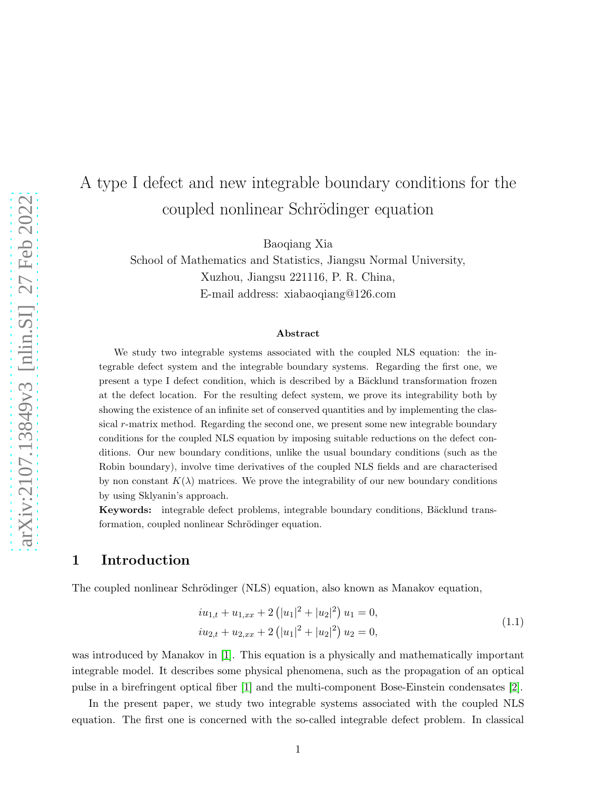# A type I defect and new integrable boundary conditions for the coupled nonlinear Schrödinger equation

Baoqiang Xia

School of Mathematics and Statistics, Jiangsu Normal University, Xuzhou, Jiangsu 221116, P. R. China, E-mail address: xiabaoqiang@126.com

#### Abstract

We study two integrable systems associated with the coupled NLS equation: the integrable defect system and the integrable boundary systems. Regarding the first one, we present a type I defect condition, which is described by a Bäcklund transformation frozen at the defect location. For the resulting defect system, we prove its integrability both by showing the existence of an infinite set of conserved quantities and by implementing the classical r-matrix method. Regarding the second one, we present some new integrable boundary conditions for the coupled NLS equation by imposing suitable reductions on the defect conditions. Our new boundary conditions, unlike the usual boundary conditions (such as the Robin boundary), involve time derivatives of the coupled NLS fields and are characterised by non constant  $K(\lambda)$  matrices. We prove the integrability of our new boundary conditions by using Sklyanin's approach.

Keywords: integrable defect problems, integrable boundary conditions, Bäcklund transformation, coupled nonlinear Schrödinger equation.

### 1 Introduction

The coupled nonlinear Schrödinger (NLS) equation, also known as Manakov equation,

<span id="page-0-0"></span>
$$
iu_{1,t} + u_{1,xx} + 2(|u_1|^2 + |u_2|^2) u_1 = 0,
$$
  
\n
$$
iu_{2,t} + u_{2,xx} + 2(|u_1|^2 + |u_2|^2) u_2 = 0,
$$
\n(1.1)

was introduced by Manakov in [\[1\]](#page-29-0). This equation is a physically and mathematically important integrable model. It describes some physical phenomena, such as the propagation of an optical pulse in a birefringent optical fiber [\[1\]](#page-29-0) and the multi-component Bose-Einstein condensates [\[2\]](#page-29-1).

In the present paper, we study two integrable systems associated with the coupled NLS equation. The first one is concerned with the so-called integrable defect problem. In classical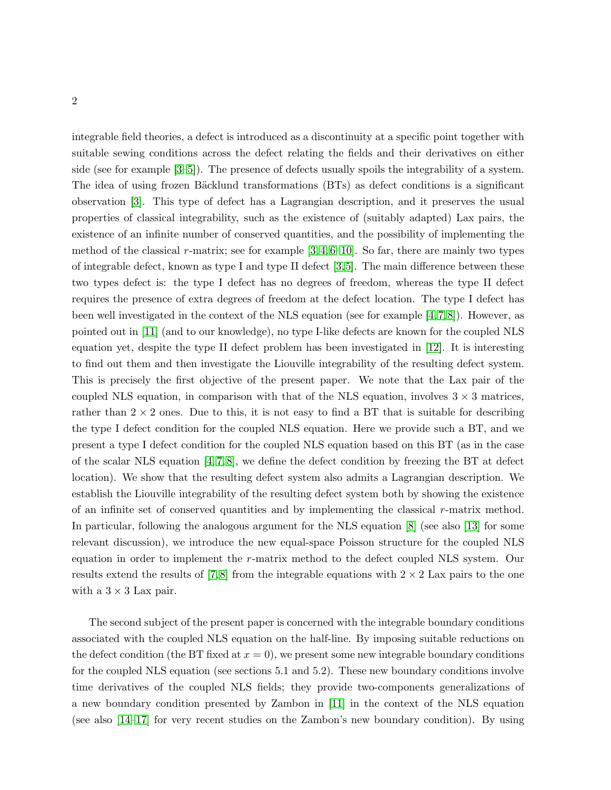integrable field theories, a defect is introduced as a discontinuity at a specific point together with suitable sewing conditions across the defect relating the fields and their derivatives on either side (see for example [\[3–](#page-29-2)[5\]](#page-30-0)). The presence of defects usually spoils the integrability of a system. The idea of using frozen Bäcklund transformations (BTs) as defect conditions is a significant observation [\[3\]](#page-29-2). This type of defect has a Lagrangian description, and it preserves the usual properties of classical integrability, such as the existence of (suitably adapted) Lax pairs, the existence of an infinite number of conserved quantities, and the possibility of implementing the method of the classical r-matrix; see for example  $[3, 4, 6-10]$  $[3, 4, 6-10]$  $[3, 4, 6-10]$  $[3, 4, 6-10]$ . So far, there are mainly two types of integrable defect, known as type I and type II defect [\[3,](#page-29-2)[5\]](#page-30-0). The main difference between these two types defect is: the type I defect has no degrees of freedom, whereas the type II defect requires the presence of extra degrees of freedom at the defect location. The type I defect has been well investigated in the context of the NLS equation (see for example  $[4,7,8]$  $[4,7,8]$  $[4,7,8]$ ). However, as pointed out in [\[11\]](#page-30-6) (and to our knowledge), no type I-like defects are known for the coupled NLS equation yet, despite the type II defect problem has been investigated in [\[12\]](#page-30-7). It is interesting to find out them and then investigate the Liouville integrability of the resulting defect system. This is precisely the first objective of the present paper. We note that the Lax pair of the coupled NLS equation, in comparison with that of the NLS equation, involves  $3 \times 3$  matrices, rather than  $2 \times 2$  ones. Due to this, it is not easy to find a BT that is suitable for describing the type I defect condition for the coupled NLS equation. Here we provide such a BT, and we present a type I defect condition for the coupled NLS equation based on this BT (as in the case of the scalar NLS equation  $[4, 7, 8]$  $[4, 7, 8]$  $[4, 7, 8]$ , we define the defect condition by freezing the BT at defect location). We show that the resulting defect system also admits a Lagrangian description. We establish the Liouville integrability of the resulting defect system both by showing the existence of an infinite set of conserved quantities and by implementing the classical  $r$ -matrix method. In particular, following the analogous argument for the NLS equation [\[8\]](#page-30-5) (see also [\[13\]](#page-30-8) for some relevant discussion), we introduce the new equal-space Poisson structure for the coupled NLS equation in order to implement the r-matrix method to the defect coupled NLS system. Our results extend the results of [\[7,](#page-30-4)8] from the integrable equations with  $2 \times 2$  Lax pairs to the one with a  $3 \times 3$  Lax pair.

The second subject of the present paper is concerned with the integrable boundary conditions associated with the coupled NLS equation on the half-line. By imposing suitable reductions on the defect condition (the BT fixed at  $x = 0$ ), we present some new integrable boundary conditions for the coupled NLS equation (see sections 5.1 and 5.2). These new boundary conditions involve time derivatives of the coupled NLS fields; they provide two-components generalizations of a new boundary condition presented by Zambon in [\[11\]](#page-30-6) in the context of the NLS equation (see also [\[14](#page-30-9)[–17\]](#page-30-10) for very recent studies on the Zambon's new boundary condition). By using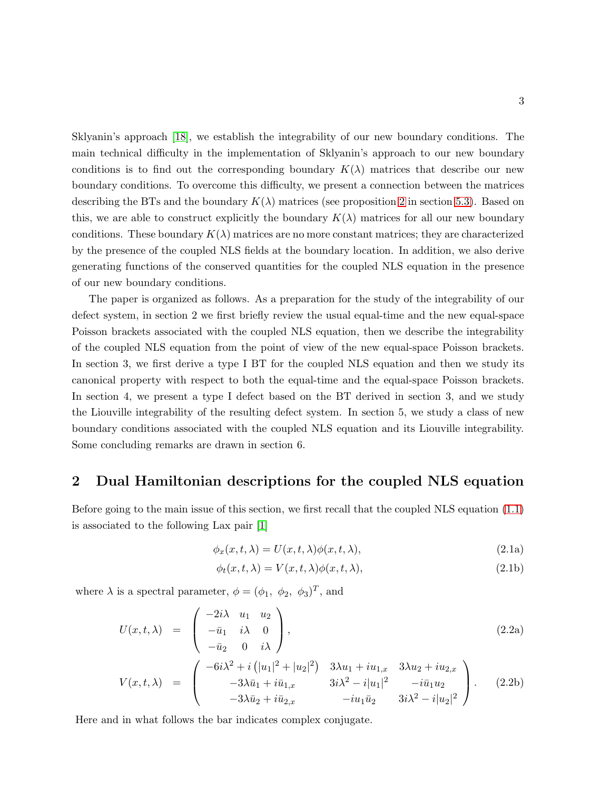Sklyanin's approach [\[18\]](#page-30-11), we establish the integrability of our new boundary conditions. The main technical difficulty in the implementation of Sklyanin's approach to our new boundary conditions is to find out the corresponding boundary  $K(\lambda)$  matrices that describe our new boundary conditions. To overcome this difficulty, we present a connection between the matrices describing the BTs and the boundary  $K(\lambda)$  matrices (see proposition [2](#page-21-0) in section [5.3\)](#page-20-0). Based on this, we are able to construct explicitly the boundary  $K(\lambda)$  matrices for all our new boundary conditions. These boundary  $K(\lambda)$  matrices are no more constant matrices; they are characterized by the presence of the coupled NLS fields at the boundary location. In addition, we also derive generating functions of the conserved quantities for the coupled NLS equation in the presence of our new boundary conditions.

The paper is organized as follows. As a preparation for the study of the integrability of our defect system, in section 2 we first briefly review the usual equal-time and the new equal-space Poisson brackets associated with the coupled NLS equation, then we describe the integrability of the coupled NLS equation from the point of view of the new equal-space Poisson brackets. In section 3, we first derive a type I BT for the coupled NLS equation and then we study its canonical property with respect to both the equal-time and the equal-space Poisson brackets. In section 4, we present a type I defect based on the BT derived in section 3, and we study the Liouville integrability of the resulting defect system. In section 5, we study a class of new boundary conditions associated with the coupled NLS equation and its Liouville integrability. Some concluding remarks are drawn in section 6.

### 2 Dual Hamiltonian descriptions for the coupled NLS equation

Before going to the main issue of this section, we first recall that the coupled NLS equation [\(1.1\)](#page-0-0) is associated to the following Lax pair [\[1\]](#page-29-0)

<span id="page-2-0"></span>
$$
\phi_x(x, t, \lambda) = U(x, t, \lambda)\phi(x, t, \lambda),\tag{2.1a}
$$

$$
\phi_t(x, t, \lambda) = V(x, t, \lambda)\phi(x, t, \lambda),\tag{2.1b}
$$

where  $\lambda$  is a spectral parameter,  $\phi = (\phi_1, \phi_2, \phi_3)^T$ , and

<span id="page-2-1"></span>
$$
U(x,t,\lambda) = \begin{pmatrix} -2i\lambda & u_1 & u_2 \\ -\bar{u}_1 & i\lambda & 0 \\ -\bar{u}_2 & 0 & i\lambda \end{pmatrix},
$$
\n(2.2a)

$$
V(x,t,\lambda) = \begin{pmatrix} -6i\lambda^2 + i(|u_1|^2 + |u_2|^2) & 3\lambda u_1 + iu_{1,x} & 3\lambda u_2 + iu_{2,x} \\ -3\lambda \bar{u}_1 + i\bar{u}_{1,x} & 3i\lambda^2 - i|u_1|^2 & -i\bar{u}_1 u_2 \\ -3\lambda \bar{u}_2 + i\bar{u}_{2,x} & -iu_1 \bar{u}_2 & 3i\lambda^2 - i|u_2|^2 \end{pmatrix}.
$$
 (2.2b)

Here and in what follows the bar indicates complex conjugate.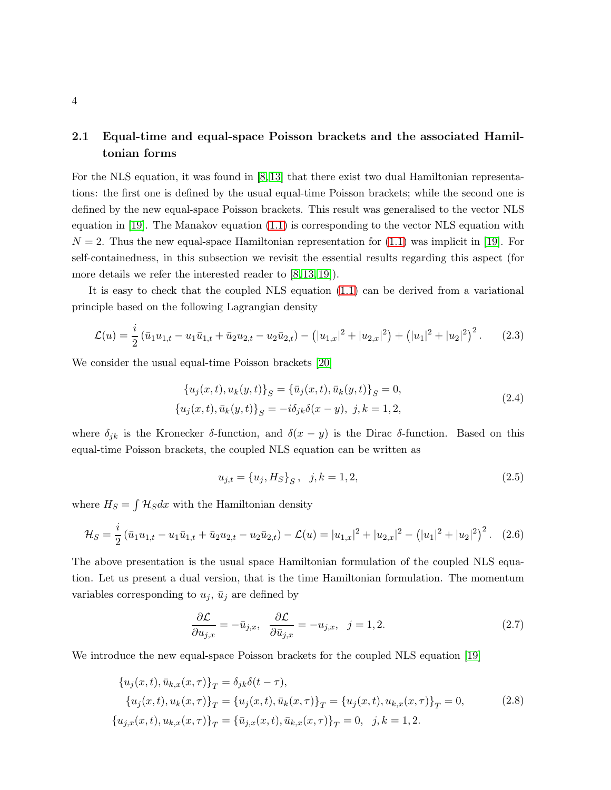### 2.1 Equal-time and equal-space Poisson brackets and the associated Hamiltonian forms

For the NLS equation, it was found in [\[8,](#page-30-5) [13\]](#page-30-8) that there exist two dual Hamiltonian representations: the first one is defined by the usual equal-time Poisson brackets; while the second one is defined by the new equal-space Poisson brackets. This result was generalised to the vector NLS equation in [\[19\]](#page-30-12). The Manakov equation [\(1.1\)](#page-0-0) is corresponding to the vector NLS equation with  $N = 2$ . Thus the new equal-space Hamiltonian representation for  $(1.1)$  was implicit in [\[19\]](#page-30-12). For self-containedness, in this subsection we revisit the essential results regarding this aspect (for more details we refer the interested reader to  $[8, 13, 19]$  $[8, 13, 19]$  $[8, 13, 19]$ .

It is easy to check that the coupled NLS equation [\(1.1\)](#page-0-0) can be derived from a variational principle based on the following Lagrangian density

<span id="page-3-3"></span>
$$
\mathcal{L}(u) = \frac{i}{2} \left( \bar{u}_1 u_{1,t} - u_1 \bar{u}_{1,t} + \bar{u}_2 u_{2,t} - u_2 \bar{u}_{2,t} \right) - \left( |u_{1,x}|^2 + |u_{2,x}|^2 \right) + \left( |u_1|^2 + |u_2|^2 \right)^2. \tag{2.3}
$$

We consider the usual equal-time Poisson brackets [\[20\]](#page-30-13)

<span id="page-3-1"></span>
$$
\{u_j(x,t), u_k(y,t)\}_S = \{\bar{u}_j(x,t), \bar{u}_k(y,t)\}_S = 0,
$$
  

$$
\{u_j(x,t), \bar{u}_k(y,t)\}_S = -i\delta_{jk}\delta(x-y), \ j, k = 1, 2,
$$
 (2.4)

where  $\delta_{jk}$  is the Kronecker  $\delta$ -function, and  $\delta(x-y)$  is the Dirac  $\delta$ -function. Based on this equal-time Poisson brackets, the coupled NLS equation can be written as

$$
u_{j,t} = \{u_j, H_S\}_S, \quad j, k = 1, 2,
$$
\n<sup>(2.5)</sup>

where  $H_S = \int \mathcal{H}_S dx$  with the Hamiltonian density

<span id="page-3-2"></span>
$$
\mathcal{H}_S = \frac{i}{2} \left( \bar{u}_1 u_{1,t} - u_1 \bar{u}_{1,t} + \bar{u}_2 u_{2,t} - u_2 \bar{u}_{2,t} \right) - \mathcal{L}(u) = |u_{1,x}|^2 + |u_{2,x}|^2 - \left( |u_1|^2 + |u_2|^2 \right)^2.
$$
 (2.6)

The above presentation is the usual space Hamiltonian formulation of the coupled NLS equation. Let us present a dual version, that is the time Hamiltonian formulation. The momentum variables corresponding to  $u_j$ ,  $\bar{u}_j$  are defined by

$$
\frac{\partial \mathcal{L}}{\partial u_{j,x}} = -\bar{u}_{j,x}, \quad \frac{\partial \mathcal{L}}{\partial \bar{u}_{j,x}} = -u_{j,x}, \quad j = 1, 2. \tag{2.7}
$$

We introduce the new equal-space Poisson brackets for the coupled NLS equation [\[19\]](#page-30-12)

<span id="page-3-0"></span>
$$
\{u_j(x,t), \bar{u}_{k,x}(x,\tau)\}_T = \delta_{jk}\delta(t-\tau),
$$
  
\n
$$
\{u_j(x,t), u_k(x,\tau)\}_T = \{u_j(x,t), \bar{u}_k(x,\tau)\}_T = \{u_j(x,t), u_{k,x}(x,\tau)\}_T = 0,
$$
  
\n
$$
\{u_{j,x}(x,t), u_{k,x}(x,\tau)\}_T = \{\bar{u}_{j,x}(x,t), \bar{u}_{k,x}(x,\tau)\}_T = 0, \quad j, k = 1, 2.
$$
\n(2.8)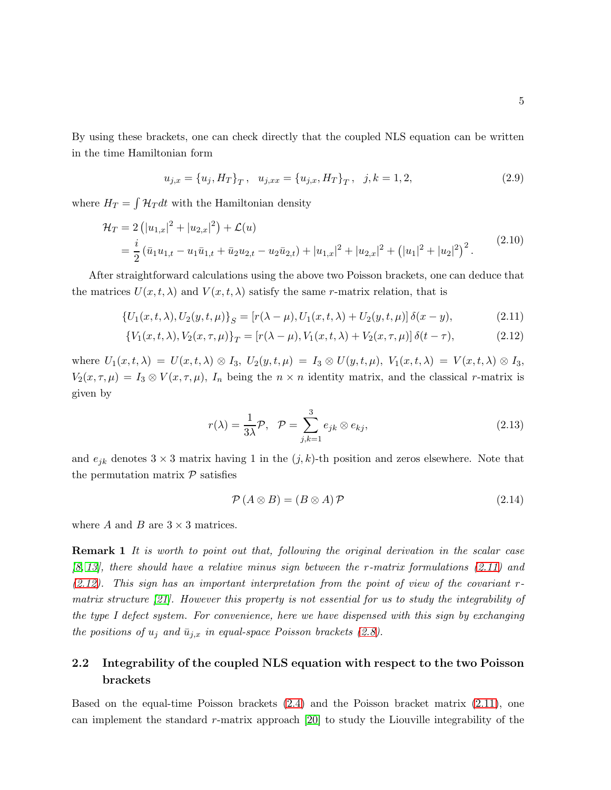By using these brackets, one can check directly that the coupled NLS equation can be written in the time Hamiltonian form

$$
u_{j,x} = \{u_j, H_T\}_T, \quad u_{j,xx} = \{u_{j,x}, H_T\}_T, \quad j, k = 1, 2,
$$
\n(2.9)

where  $H_T = \int \mathcal{H}_T dt$  with the Hamiltonian density

<span id="page-4-1"></span>
$$
\mathcal{H}_T = 2\left(|u_{1,x}|^2 + |u_{2,x}|^2\right) + \mathcal{L}(u)
$$
  
=  $\frac{i}{2} \left(\bar{u}_1 u_{1,t} - u_1 \bar{u}_{1,t} + \bar{u}_2 u_{2,t} - u_2 \bar{u}_{2,t}\right) + |u_{1,x}|^2 + |u_{2,x}|^2 + (|u_1|^2 + |u_2|^2)^2.$  (2.10)

After straightforward calculations using the above two Poisson brackets, one can deduce that the matrices  $U(x, t, \lambda)$  and  $V(x, t, \lambda)$  satisfy the same r-matrix relation, that is

<span id="page-4-0"></span>
$$
\{U_1(x,t,\lambda), U_2(y,t,\mu)\}_S = [r(\lambda - \mu), U_1(x,t,\lambda) + U_2(y,t,\mu)]\,\delta(x - y),\tag{2.11}
$$

$$
\{V_1(x,t,\lambda), V_2(x,\tau,\mu)\}_T = [r(\lambda - \mu), V_1(x,t,\lambda) + V_2(x,\tau,\mu)] \delta(t-\tau), \tag{2.12}
$$

where  $U_1(x,t,\lambda) = U(x,t,\lambda) \otimes I_3$ ,  $U_2(y,t,\mu) = I_3 \otimes U(y,t,\mu)$ ,  $V_1(x,t,\lambda) = V(x,t,\lambda) \otimes I_3$ ,  $V_2(x, \tau, \mu) = I_3 \otimes V(x, \tau, \mu)$ ,  $I_n$  being the  $n \times n$  identity matrix, and the classical r-matrix is given by

$$
r(\lambda) = \frac{1}{3\lambda} \mathcal{P}, \quad \mathcal{P} = \sum_{j,k=1}^{3} e_{jk} \otimes e_{kj}, \tag{2.13}
$$

and  $e_{ik}$  denotes  $3 \times 3$  matrix having 1 in the  $(j, k)$ -th position and zeros elsewhere. Note that the permutation matrix  $P$  satisfies

<span id="page-4-2"></span>
$$
\mathcal{P}(A \otimes B) = (B \otimes A)\mathcal{P} \tag{2.14}
$$

where A and B are  $3 \times 3$  matrices.

**Remark 1** It is worth to point out that, following the original derivation in the scalar case  $[8, 13]$  $[8, 13]$ , there should have a relative minus sign between the r-matrix formulations  $(2.11)$  and  $(2.12)$ . This sign has an important interpretation from the point of view of the covariant rmatrix structure [\[21\]](#page-31-0). However this property is not essential for us to study the integrability of the type I defect system. For convenience, here we have dispensed with this sign by exchanging the positions of  $u_j$  and  $\bar{u}_{j,x}$  in equal-space Poisson brackets [\(2.8\)](#page-3-0).

### 2.2 Integrability of the coupled NLS equation with respect to the two Poisson brackets

Based on the equal-time Poisson brackets [\(2.4\)](#page-3-1) and the Poisson bracket matrix [\(2.11\)](#page-4-0), one can implement the standard r-matrix approach [\[20\]](#page-30-13) to study the Liouville integrability of the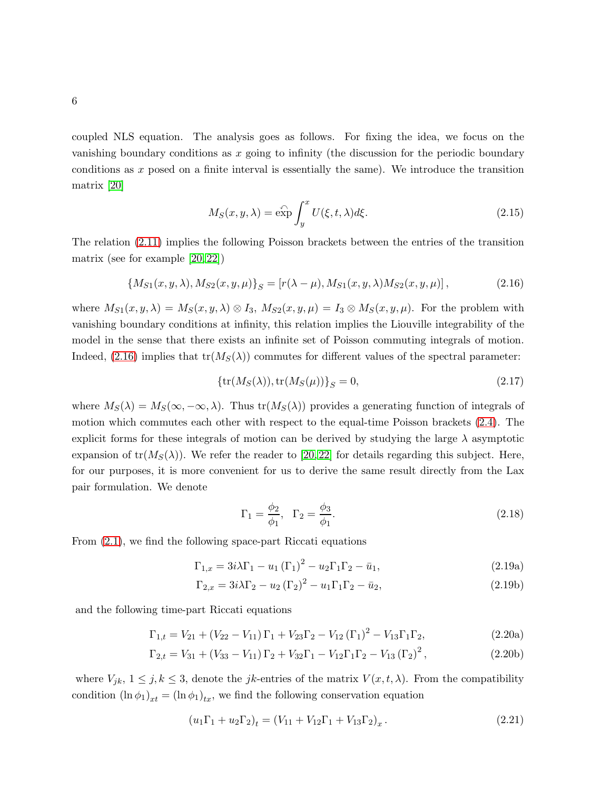coupled NLS equation. The analysis goes as follows. For fixing the idea, we focus on the vanishing boundary conditions as  $x$  going to infinity (the discussion for the periodic boundary conditions as x posed on a finite interval is essentially the same). We introduce the transition matrix [\[20\]](#page-30-13)

$$
M_S(x, y, \lambda) = \widehat{\exp} \int_y^x U(\xi, t, \lambda) d\xi.
$$
 (2.15)

The relation [\(2.11\)](#page-4-0) implies the following Poisson brackets between the entries of the transition matrix (see for example [\[20,](#page-30-13) [22\]](#page-31-1))

<span id="page-5-0"></span>
$$
\{M_{S1}(x, y, \lambda), M_{S2}(x, y, \mu)\}_S = [r(\lambda - \mu), M_{S1}(x, y, \lambda)M_{S2}(x, y, \mu)],
$$
\n(2.16)

where  $M_{S1}(x, y, \lambda) = M_S(x, y, \lambda) \otimes I_3$ ,  $M_{S2}(x, y, \mu) = I_3 \otimes M_S(x, y, \mu)$ . For the problem with vanishing boundary conditions at infinity, this relation implies the Liouville integrability of the model in the sense that there exists an infinite set of Poisson commuting integrals of motion. Indeed, [\(2.16\)](#page-5-0) implies that  $tr(M<sub>S</sub>(\lambda))$  commutes for different values of the spectral parameter:

$$
{\rm tr}(M_S(\lambda)), {\rm tr}(M_S(\mu))\}_S = 0,
$$
\n(2.17)

where  $M_S(\lambda) = M_S(\infty, -\infty, \lambda)$ . Thus tr $(M_S(\lambda))$  provides a generating function of integrals of motion which commutes each other with respect to the equal-time Poisson brackets [\(2.4\)](#page-3-1). The explicit forms for these integrals of motion can be derived by studying the large  $\lambda$  asymptotic expansion of  $tr(M_S(\lambda))$ . We refer the reader to [\[20,](#page-30-13) [22\]](#page-31-1) for details regarding this subject. Here, for our purposes, it is more convenient for us to derive the same result directly from the Lax pair formulation. We denote

$$
\Gamma_1 = \frac{\phi_2}{\phi_1}, \quad \Gamma_2 = \frac{\phi_3}{\phi_1}.
$$
\n(2.18)

From [\(2.1\)](#page-2-0), we find the following space-part Riccati equations

<span id="page-5-2"></span>
$$
\Gamma_{1,x} = 3i\lambda\Gamma_1 - u_1(\Gamma_1)^2 - u_2\Gamma_1\Gamma_2 - \bar{u}_1,
$$
\n(2.19a)

$$
\Gamma_{2,x} = 3i\lambda\Gamma_2 - u_2(\Gamma_2)^2 - u_1\Gamma_1\Gamma_2 - \bar{u}_2,
$$
\n(2.19b)

and the following time-part Riccati equations

<span id="page-5-3"></span>
$$
\Gamma_{1,t} = V_{21} + (V_{22} - V_{11})\Gamma_1 + V_{23}\Gamma_2 - V_{12}(\Gamma_1)^2 - V_{13}\Gamma_1\Gamma_2,
$$
\n(2.20a)

$$
\Gamma_{2,t} = V_{31} + (V_{33} - V_{11})\Gamma_2 + V_{32}\Gamma_1 - V_{12}\Gamma_1\Gamma_2 - V_{13}(\Gamma_2)^2, \tag{2.20b}
$$

where  $V_{jk}$ ,  $1 \leq j, k \leq 3$ , denote the *jk*-entries of the matrix  $V(x, t, \lambda)$ . From the compatibility condition  $(\ln \phi_1)_{xt} = (\ln \phi_1)_{tx}$ , we find the following conservation equation

<span id="page-5-1"></span>
$$
(u_1\Gamma_1 + u_2\Gamma_2)_t = (V_{11} + V_{12}\Gamma_1 + V_{13}\Gamma_2)_x.
$$
\n(2.21)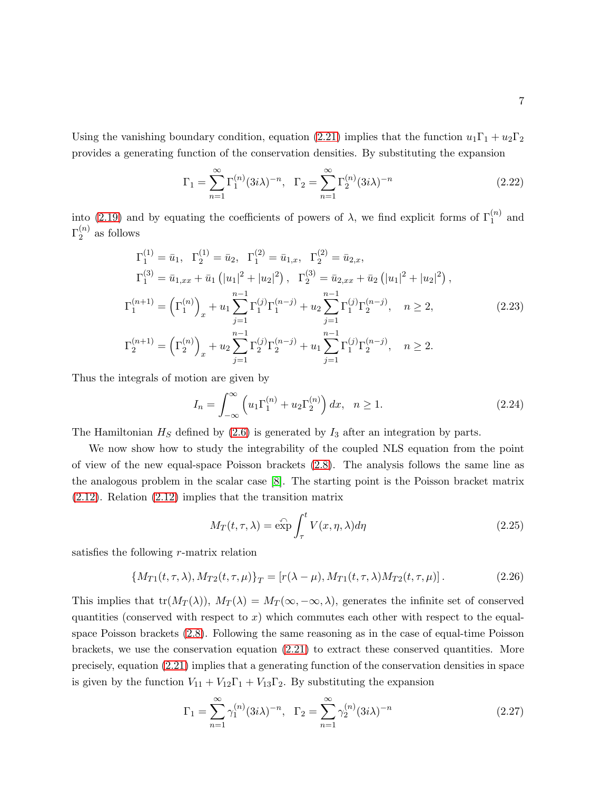Using the vanishing boundary condition, equation [\(2.21\)](#page-5-1) implies that the function  $u_1\Gamma_1 + u_2\Gamma_2$ provides a generating function of the conservation densities. By substituting the expansion

<span id="page-6-0"></span>
$$
\Gamma_1 = \sum_{n=1}^{\infty} \Gamma_1^{(n)} (3i\lambda)^{-n}, \quad \Gamma_2 = \sum_{n=1}^{\infty} \Gamma_2^{(n)} (3i\lambda)^{-n}
$$
 (2.22)

into [\(2.19\)](#page-5-2) and by equating the coefficients of powers of  $\lambda$ , we find explicit forms of  $\Gamma_1^{(n)}$  and  $\Gamma_2^{(n)}$  $2^{(n)}$  as follows

<span id="page-6-1"></span>
$$
\Gamma_1^{(1)} = \bar{u}_1, \quad \Gamma_2^{(1)} = \bar{u}_2, \quad \Gamma_1^{(2)} = \bar{u}_{1,x}, \quad \Gamma_2^{(2)} = \bar{u}_{2,x},
$$
\n
$$
\Gamma_1^{(3)} = \bar{u}_{1,xx} + \bar{u}_1 \left( |u_1|^2 + |u_2|^2 \right), \quad \Gamma_2^{(3)} = \bar{u}_{2,xx} + \bar{u}_2 \left( |u_1|^2 + |u_2|^2 \right),
$$
\n
$$
\Gamma_1^{(n+1)} = \left( \Gamma_1^{(n)} \right)_x + u_1 \sum_{j=1}^{n-1} \Gamma_1^{(j)} \Gamma_1^{(n-j)} + u_2 \sum_{j=1}^{n-1} \Gamma_1^{(j)} \Gamma_2^{(n-j)}, \quad n \ge 2,
$$
\n
$$
\Gamma_2^{(n+1)} = \left( \Gamma_2^{(n)} \right)_x + u_2 \sum_{j=1}^{n-1} \Gamma_2^{(j)} \Gamma_2^{(n-j)} + u_1 \sum_{j=1}^{n-1} \Gamma_1^{(j)} \Gamma_2^{(n-j)}, \quad n \ge 2.
$$
\n(2.23)

Thus the integrals of motion are given by

$$
I_n = \int_{-\infty}^{\infty} \left( u_1 \Gamma_1^{(n)} + u_2 \Gamma_2^{(n)} \right) dx, \quad n \ge 1.
$$
 (2.24)

The Hamiltonian  $H<sub>S</sub>$  defined by [\(2.6\)](#page-3-2) is generated by  $I<sub>3</sub>$  after an integration by parts.

We now show how to study the integrability of the coupled NLS equation from the point of view of the new equal-space Poisson brackets [\(2.8\)](#page-3-0). The analysis follows the same line as the analogous problem in the scalar case [\[8\]](#page-30-5). The starting point is the Poisson bracket matrix [\(2.12\)](#page-4-0). Relation [\(2.12\)](#page-4-0) implies that the transition matrix

$$
M_T(t,\tau,\lambda) = \exp \int_{\tau}^{t} V(x,\eta,\lambda) d\eta
$$
\n(2.25)

satisfies the following r-matrix relation

$$
\{M_{T1}(t,\tau,\lambda), M_{T2}(t,\tau,\mu)\}_T = [r(\lambda-\mu), M_{T1}(t,\tau,\lambda)M_{T2}(t,\tau,\mu)].
$$
\n(2.26)

This implies that  $tr(M_T(\lambda))$ ,  $M_T(\lambda) = M_T(\infty, -\infty, \lambda)$ , generates the infinite set of conserved quantities (conserved with respect to  $x$ ) which commutes each other with respect to the equalspace Poisson brackets [\(2.8\)](#page-3-0). Following the same reasoning as in the case of equal-time Poisson brackets, we use the conservation equation  $(2.21)$  to extract these conserved quantities. More precisely, equation [\(2.21\)](#page-5-1) implies that a generating function of the conservation densities in space is given by the function  $V_{11} + V_{12}\Gamma_1 + V_{13}\Gamma_2$ . By substituting the expansion

$$
\Gamma_1 = \sum_{n=1}^{\infty} \gamma_1^{(n)} (3i\lambda)^{-n}, \quad \Gamma_2 = \sum_{n=1}^{\infty} \gamma_2^{(n)} (3i\lambda)^{-n}
$$
 (2.27)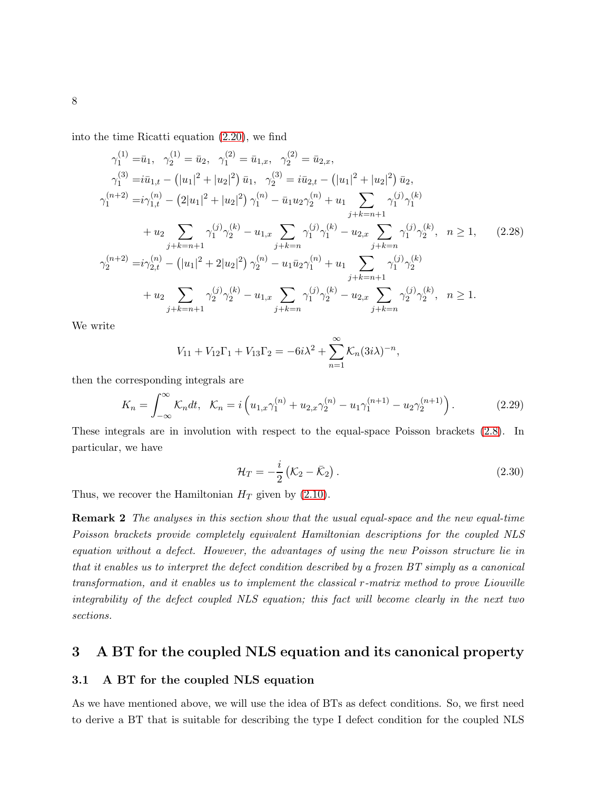into the time Ricatti equation [\(2.20\)](#page-5-3), we find

$$
\gamma_{1}^{(1)} = \bar{u}_{1}, \quad \gamma_{2}^{(1)} = \bar{u}_{2}, \quad \gamma_{1}^{(2)} = \bar{u}_{1,x}, \quad \gamma_{2}^{(2)} = \bar{u}_{2,x},
$$
\n
$$
\gamma_{1}^{(3)} = i\bar{u}_{1,t} - (|u_{1}|^{2} + |u_{2}|^{2})\bar{u}_{1}, \quad \gamma_{2}^{(3)} = i\bar{u}_{2,t} - (|u_{1}|^{2} + |u_{2}|^{2})\bar{u}_{2},
$$
\n
$$
\gamma_{1}^{(n+2)} = i\gamma_{1,t}^{(n)} - (2|u_{1}|^{2} + |u_{2}|^{2})\gamma_{1}^{(n)} - \bar{u}_{1}u_{2}\gamma_{2}^{(n)} + u_{1} \sum_{j+k=n+1} \gamma_{1}^{(j)}\gamma_{1}^{(k)}
$$
\n
$$
+ u_{2} \sum_{j+k=n+1} \gamma_{1}^{(j)}\gamma_{2}^{(k)} - u_{1,x} \sum_{j+k=n} \gamma_{1}^{(j)}\gamma_{1}^{(k)} - u_{2,x} \sum_{j+k=n} \gamma_{1}^{(j)}\gamma_{2}^{(k)}, \quad n \ge 1, \tag{2.28}
$$
\n
$$
\gamma_{2}^{(n+2)} = i\gamma_{2,t}^{(n)} - (|u_{1}|^{2} + 2|u_{2}|^{2})\gamma_{2}^{(n)} - u_{1}\bar{u}_{2}\gamma_{1}^{(n)} + u_{1} \sum_{j+k=n+1} \gamma_{1}^{(j)}\gamma_{2}^{(k)}
$$
\n
$$
+ u_{2} \sum_{j+k=n+1} \gamma_{2}^{(j)}\gamma_{2}^{(k)} - u_{1,x} \sum_{j+k=n} \gamma_{1}^{(j)}\gamma_{2}^{(k)} - u_{2,x} \sum_{j+k=n} \gamma_{2}^{(j)}\gamma_{2}^{(k)}, \quad n \ge 1.
$$

We write

$$
V_{11} + V_{12}\Gamma_1 + V_{13}\Gamma_2 = -6i\lambda^2 + \sum_{n=1}^{\infty} K_n (3i\lambda)^{-n},
$$

then the corresponding integrals are

$$
K_n = \int_{-\infty}^{\infty} \mathcal{K}_n dt, \quad \mathcal{K}_n = i \left( u_{1,x} \gamma_1^{(n)} + u_{2,x} \gamma_2^{(n)} - u_1 \gamma_1^{(n+1)} - u_2 \gamma_2^{(n+1)} \right). \tag{2.29}
$$

These integrals are in involution with respect to the equal-space Poisson brackets [\(2.8\)](#page-3-0). In particular, we have

$$
\mathcal{H}_T = -\frac{i}{2} \left( \mathcal{K}_2 - \bar{\mathcal{K}}_2 \right). \tag{2.30}
$$

Thus, we recover the Hamiltonian  $H_T$  given by [\(2.10\)](#page-4-1).

Remark 2 The analyses in this section show that the usual equal-space and the new equal-time Poisson brackets provide completely equivalent Hamiltonian descriptions for the coupled NLS equation without a defect. However, the advantages of using the new Poisson structure lie in that it enables us to interpret the defect condition described by a frozen BT simply as a canonical transformation, and it enables us to implement the classical r-matrix method to prove Liouville integrability of the defect coupled NLS equation; this fact will become clearly in the next two sections.

### 3 A BT for the coupled NLS equation and its canonical property

#### 3.1 A BT for the coupled NLS equation

As we have mentioned above, we will use the idea of BTs as defect conditions. So, we first need to derive a BT that is suitable for describing the type I defect condition for the coupled NLS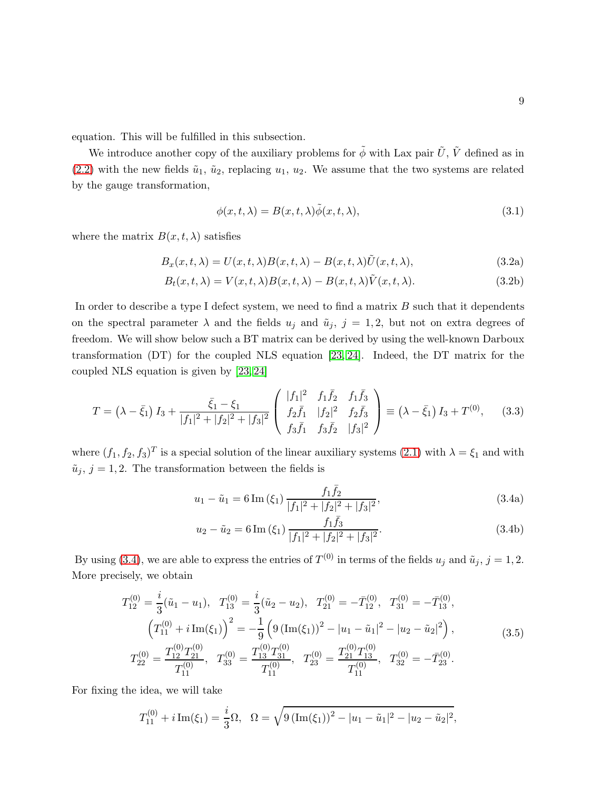equation. This will be fulfilled in this subsection.

We introduce another copy of the auxiliary problems for  $\tilde{\phi}$  with Lax pair  $\tilde{U}$ ,  $\tilde{V}$  defined as in [\(2.2\)](#page-2-1) with the new fields  $\tilde{u}_1$ ,  $\tilde{u}_2$ , replacing  $u_1$ ,  $u_2$ . We assume that the two systems are related by the gauge transformation,

<span id="page-8-3"></span>
$$
\phi(x,t,\lambda) = B(x,t,\lambda)\tilde{\phi}(x,t,\lambda),\tag{3.1}
$$

where the matrix  $B(x, t, \lambda)$  satisfies

<span id="page-8-2"></span>
$$
B_x(x, t, \lambda) = U(x, t, \lambda)B(x, t, \lambda) - B(x, t, \lambda)\tilde{U}(x, t, \lambda),
$$
\n(3.2a)

$$
B_t(x, t, \lambda) = V(x, t, \lambda)B(x, t, \lambda) - B(x, t, \lambda)\tilde{V}(x, t, \lambda).
$$
\n(3.2b)

In order to describe a type I defect system, we need to find a matrix  $B$  such that it dependents on the spectral parameter  $\lambda$  and the fields  $u_j$  and  $\tilde{u}_j$ ,  $j = 1, 2$ , but not on extra degrees of freedom. We will show below such a BT matrix can be derived by using the well-known Darboux transformation (DT) for the coupled NLS equation [\[23,](#page-31-2) [24\]](#page-31-3). Indeed, the DT matrix for the coupled NLS equation is given by [\[23,](#page-31-2) [24\]](#page-31-3)

<span id="page-8-1"></span>
$$
T = \left(\lambda - \bar{\xi}_1\right)I_3 + \frac{\bar{\xi}_1 - \xi_1}{|f_1|^2 + |f_2|^2 + |f_3|^2} \begin{pmatrix} |f_1|^2 & f_1\bar{f}_2 & f_1\bar{f}_3\\ f_2\bar{f}_1 & |f_2|^2 & f_2\bar{f}_3\\ f_3\bar{f}_1 & f_3\bar{f}_2 & |f_3|^2 \end{pmatrix} \equiv \left(\lambda - \bar{\xi}_1\right)I_3 + T^{(0)},\tag{3.3}
$$

where  $(f_1, f_2, f_3)^T$  is a special solution of the linear auxiliary systems [\(2.1\)](#page-2-0) with  $\lambda = \xi_1$  and with  $\tilde{u}_j, j = 1, 2$ . The transformation between the fields is

<span id="page-8-0"></span>
$$
u_1 - \tilde{u}_1 = 6 \operatorname{Im} \left( \xi_1 \right) \frac{f_1 \bar{f}_2}{|f_1|^2 + |f_2|^2 + |f_3|^2},\tag{3.4a}
$$

$$
u_2 - \tilde{u}_2 = 6 \operatorname{Im} \left( \xi_1 \right) \frac{f_1 \bar{f}_3}{|f_1|^2 + |f_2|^2 + |f_3|^2}.
$$
 (3.4b)

By using [\(3.4\)](#page-8-0), we are able to express the entries of  $T^{(0)}$  in terms of the fields  $u_j$  and  $\tilde{u}_j$ ,  $j = 1, 2$ . More precisely, we obtain

$$
T_{12}^{(0)} = \frac{i}{3}(\tilde{u}_1 - u_1), \quad T_{13}^{(0)} = \frac{i}{3}(\tilde{u}_2 - u_2), \quad T_{21}^{(0)} = -\bar{T}_{12}^{(0)}, \quad T_{31}^{(0)} = -\bar{T}_{13}^{(0)},
$$
  

$$
\left(T_{11}^{(0)} + i \operatorname{Im}(\xi_1)\right)^2 = -\frac{1}{9}\left(9\left(\operatorname{Im}(\xi_1)\right)^2 - |u_1 - \tilde{u}_1|^2 - |u_2 - \tilde{u}_2|^2\right),
$$
  

$$
T_{22}^{(0)} = \frac{T_{12}^{(0)}T_{21}^{(0)}}{T_{11}^{(0)}}, \quad T_{33}^{(0)} = \frac{T_{13}^{(0)}T_{31}^{(0)}}{T_{11}^{(0)}}, \quad T_{23}^{(0)} = \frac{T_{21}^{(0)}T_{13}^{(0)}}{T_{11}^{(0)}}, \quad T_{32}^{(0)} = -\bar{T}_{23}^{(0)}.
$$
 (3.5)

For fixing the idea, we will take

$$
T_{11}^{(0)} + i \operatorname{Im}(\xi_1) = \frac{i}{3} \Omega, \quad \Omega = \sqrt{9 (\operatorname{Im}(\xi_1))^2 - |u_1 - \tilde{u}_1|^2 - |u_2 - \tilde{u}_2|^2},
$$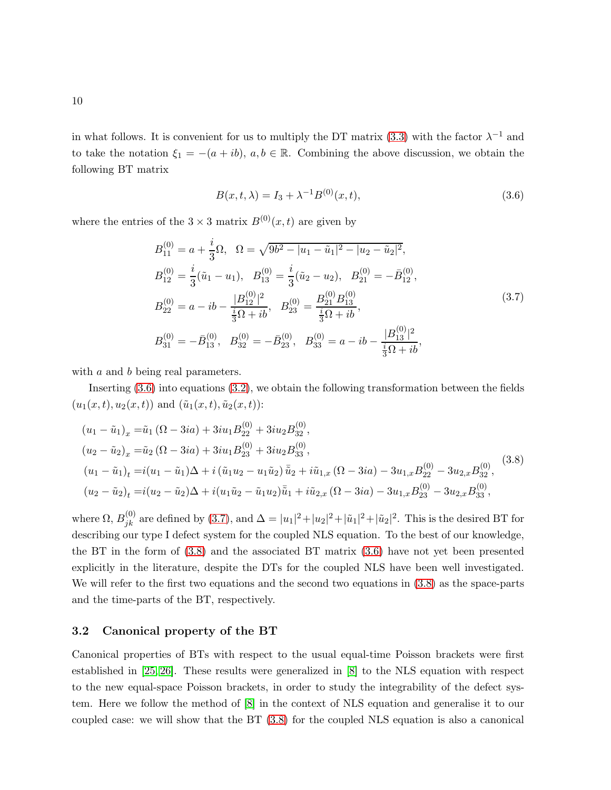in what follows. It is convenient for us to multiply the DT matrix [\(3.3\)](#page-8-1) with the factor  $\lambda^{-1}$  and to take the notation  $\xi_1 = -(a + ib), a, b \in \mathbb{R}$ . Combining the above discussion, we obtain the following BT matrix

<span id="page-9-0"></span>
$$
B(x,t,\lambda) = I_3 + \lambda^{-1} B^{(0)}(x,t),\tag{3.6}
$$

where the entries of the  $3 \times 3$  matrix  $B^{(0)}(x, t)$  are given by

<span id="page-9-1"></span>
$$
B_{11}^{(0)} = a + \frac{i}{3}\Omega, \quad \Omega = \sqrt{9b^2 - |u_1 - \tilde{u}_1|^2 - |u_2 - \tilde{u}_2|^2},
$$
  
\n
$$
B_{12}^{(0)} = \frac{i}{3}(\tilde{u}_1 - u_1), \quad B_{13}^{(0)} = \frac{i}{3}(\tilde{u}_2 - u_2), \quad B_{21}^{(0)} = -\bar{B}_{12}^{(0)},
$$
  
\n
$$
B_{22}^{(0)} = a - ib - \frac{|B_{12}^{(0)}|^2}{\frac{i}{3}\Omega + ib}, \quad B_{23}^{(0)} = \frac{B_{21}^{(0)}B_{13}^{(0)}}{\frac{i}{3}\Omega + ib},
$$
  
\n
$$
B_{31}^{(0)} = -\bar{B}_{13}^{(0)}, \quad B_{32}^{(0)} = -\bar{B}_{23}^{(0)}, \quad B_{33}^{(0)} = a - ib - \frac{|B_{13}^{(0)}|^2}{\frac{i}{3}\Omega + ib},
$$
  
\n(3.7)

with a and b being real parameters.

Inserting [\(3.6\)](#page-9-0) into equations [\(3.2\)](#page-8-2), we obtain the following transformation between the fields  $(u_1(x, t), u_2(x, t))$  and  $(\tilde{u}_1(x, t), \tilde{u}_2(x, t))$ :

<span id="page-9-2"></span>
$$
(u_1 - \tilde{u}_1)_x = \tilde{u}_1 (\Omega - 3ia) + 3iu_1 B_{22}^{(0)} + 3iu_2 B_{32}^{(0)},
$$
  
\n
$$
(u_2 - \tilde{u}_2)_x = \tilde{u}_2 (\Omega - 3ia) + 3iu_1 B_{23}^{(0)} + 3iu_2 B_{33}^{(0)},
$$
  
\n
$$
(u_1 - \tilde{u}_1)_t = i(u_1 - \tilde{u}_1)\Delta + i(\tilde{u}_1 u_2 - u_1 \tilde{u}_2)\tilde{u}_2 + i\tilde{u}_{1,x} (\Omega - 3ia) - 3u_{1,x} B_{22}^{(0)} - 3u_{2,x} B_{32}^{(0)},
$$
  
\n
$$
(u_2 - \tilde{u}_2)_t = i(u_2 - \tilde{u}_2)\Delta + i(u_1 \tilde{u}_2 - \tilde{u}_1 u_2)\tilde{u}_1 + i\tilde{u}_{2,x} (\Omega - 3ia) - 3u_{1,x} B_{23}^{(0)} - 3u_{2,x} B_{33}^{(0)},
$$
\n
$$
(3.8)
$$

where  $\Omega$ ,  $B_{jk}^{(0)}$  are defined by [\(3.7\)](#page-9-1), and  $\Delta = |u_1|^2 + |u_2|^2 + |\tilde{u}_1|^2 + |\tilde{u}_2|^2$ . This is the desired BT for describing our type I defect system for the coupled NLS equation. To the best of our knowledge, the BT in the form of  $(3.8)$  and the associated BT matrix  $(3.6)$  have not yet been presented explicitly in the literature, despite the DTs for the coupled NLS have been well investigated. We will refer to the first two equations and the second two equations in [\(3.8\)](#page-9-2) as the space-parts and the time-parts of the BT, respectively.

#### 3.2 Canonical property of the BT

Canonical properties of BTs with respect to the usual equal-time Poisson brackets were first established in [\[25,](#page-31-4) [26\]](#page-31-5). These results were generalized in [\[8\]](#page-30-5) to the NLS equation with respect to the new equal-space Poisson brackets, in order to study the integrability of the defect system. Here we follow the method of [\[8\]](#page-30-5) in the context of NLS equation and generalise it to our coupled case: we will show that the BT [\(3.8\)](#page-9-2) for the coupled NLS equation is also a canonical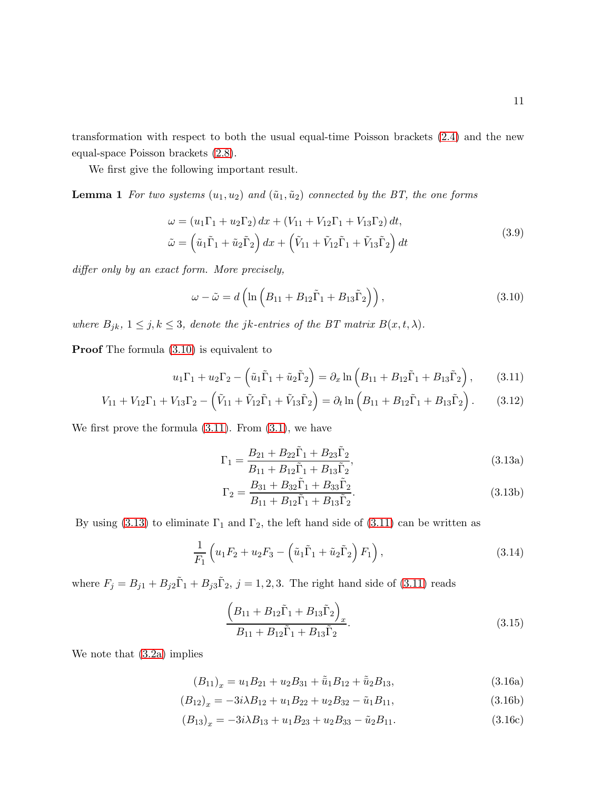transformation with respect to both the usual equal-time Poisson brackets [\(2.4\)](#page-3-1) and the new equal-space Poisson brackets [\(2.8\)](#page-3-0).

We first give the following important result.

**Lemma 1** For two systems  $(u_1, u_2)$  and  $(\tilde{u}_1, \tilde{u}_2)$  connected by the BT, the one forms

$$
\omega = (u_1\Gamma_1 + u_2\Gamma_2) dx + (V_{11} + V_{12}\Gamma_1 + V_{13}\Gamma_2) dt,
$$
  
\n
$$
\tilde{\omega} = (\tilde{u}_1\tilde{\Gamma}_1 + \tilde{u}_2\tilde{\Gamma}_2) dx + (\tilde{V}_{11} + \tilde{V}_{12}\tilde{\Gamma}_1 + \tilde{V}_{13}\tilde{\Gamma}_2) dt
$$
\n(3.9)

differ only by an exact form. More precisely,

<span id="page-10-0"></span>
$$
\omega - \tilde{\omega} = d \left( \ln \left( B_{11} + B_{12} \tilde{\Gamma}_1 + B_{13} \tilde{\Gamma}_2 \right) \right), \tag{3.10}
$$

where  $B_{jk}$ ,  $1 \leq j, k \leq 3$ , denote the jk-entries of the BT matrix  $B(x, t, \lambda)$ .

Proof The formula [\(3.10\)](#page-10-0) is equivalent to

<span id="page-10-1"></span>
$$
u_1\Gamma_1 + u_2\Gamma_2 - \left(\tilde{u}_1\tilde{\Gamma}_1 + \tilde{u}_2\tilde{\Gamma}_2\right) = \partial_x \ln\left(B_{11} + B_{12}\tilde{\Gamma}_1 + B_{13}\tilde{\Gamma}_2\right),\tag{3.11}
$$

$$
V_{11} + V_{12}\Gamma_1 + V_{13}\Gamma_2 - (\tilde{V}_{11} + \tilde{V}_{12}\tilde{\Gamma}_1 + \tilde{V}_{13}\tilde{\Gamma}_2) = \partial_t \ln\left(B_{11} + B_{12}\tilde{\Gamma}_1 + B_{13}\tilde{\Gamma}_2\right). \tag{3.12}
$$

We first prove the formula  $(3.11)$ . From  $(3.1)$ , we have

<span id="page-10-2"></span>
$$
\Gamma_1 = \frac{B_{21} + B_{22}\tilde{\Gamma}_1 + B_{23}\tilde{\Gamma}_2}{B_{11} + B_{12}\tilde{\Gamma}_1 + B_{13}\tilde{\Gamma}_2},\tag{3.13a}
$$

$$
\Gamma_2 = \frac{B_{31} + B_{32}\tilde{\Gamma}_1 + B_{33}\tilde{\Gamma}_2}{B_{11} + B_{12}\tilde{\Gamma}_1 + B_{13}\tilde{\Gamma}_2}.
$$
\n(3.13b)

By using [\(3.13\)](#page-10-2) to eliminate  $\Gamma_1$  and  $\Gamma_2$ , the left hand side of [\(3.11\)](#page-10-1) can be written as

<span id="page-10-5"></span>
$$
\frac{1}{F_1} \left( u_1 F_2 + u_2 F_3 - \left( \tilde{u}_1 \tilde{\Gamma}_1 + \tilde{u}_2 \tilde{\Gamma}_2 \right) F_1 \right),\tag{3.14}
$$

where  $F_j = B_{j1} + B_{j2}\tilde{\Gamma}_1 + B_{j3}\tilde{\Gamma}_2$ ,  $j = 1, 2, 3$ . The right hand side of [\(3.11\)](#page-10-1) reads

<span id="page-10-4"></span>
$$
\frac{\left(B_{11} + B_{12}\tilde{\Gamma}_1 + B_{13}\tilde{\Gamma}_2\right)_x}{B_{11} + B_{12}\tilde{\Gamma}_1 + B_{13}\tilde{\Gamma}_2}.
$$
\n(3.15)

We note that [\(3.2a\)](#page-8-2) implies

<span id="page-10-3"></span>
$$
(B_{11})_x = u_1 B_{21} + u_2 B_{31} + \tilde{u}_1 B_{12} + \tilde{u}_2 B_{13},
$$
\n(3.16a)

$$
(B_{12})_x = -3i\lambda B_{12} + u_1 B_{22} + u_2 B_{32} - \tilde{u}_1 B_{11},
$$
\n(3.16b)

$$
(B_{13})_x = -3i\lambda B_{13} + u_1 B_{23} + u_2 B_{33} - \tilde{u}_2 B_{11}.
$$
 (3.16c)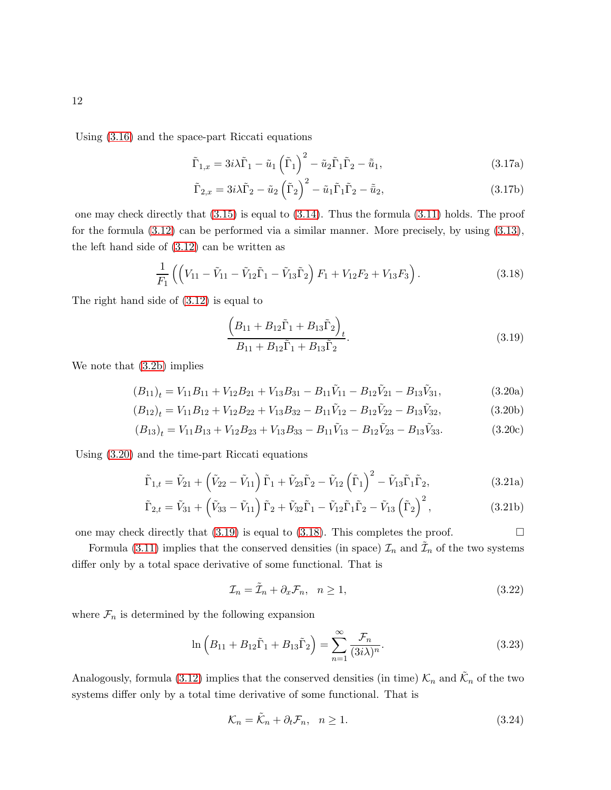Using [\(3.16\)](#page-10-3) and the space-part Riccati equations

$$
\tilde{\Gamma}_{1,x} = 3i\lambda \tilde{\Gamma}_1 - \tilde{u}_1 \left(\tilde{\Gamma}_1\right)^2 - \tilde{u}_2 \tilde{\Gamma}_1 \tilde{\Gamma}_2 - \tilde{\bar{u}}_1, \tag{3.17a}
$$

$$
\tilde{\Gamma}_{2,x} = 3i\lambda \tilde{\Gamma}_2 - \tilde{u}_2 \left(\tilde{\Gamma}_2\right)^2 - \tilde{u}_1 \tilde{\Gamma}_1 \tilde{\Gamma}_2 - \tilde{\bar{u}}_2, \tag{3.17b}
$$

one may check directly that [\(3.15\)](#page-10-4) is equal to [\(3.14\)](#page-10-5). Thus the formula [\(3.11\)](#page-10-1) holds. The proof for the formula [\(3.12\)](#page-10-1) can be performed via a similar manner. More precisely, by using [\(3.13\)](#page-10-2), the left hand side of [\(3.12\)](#page-10-1) can be written as

<span id="page-11-2"></span>
$$
\frac{1}{F_1} \left( \left( V_{11} - \tilde{V}_{11} - \tilde{V}_{12} \tilde{\Gamma}_1 - \tilde{V}_{13} \tilde{\Gamma}_2 \right) F_1 + V_{12} F_2 + V_{13} F_3 \right). \tag{3.18}
$$

The right hand side of [\(3.12\)](#page-10-1) is equal to

<span id="page-11-1"></span>
$$
\frac{\left(B_{11} + B_{12}\tilde{\Gamma}_1 + B_{13}\tilde{\Gamma}_2\right)_t}{B_{11} + B_{12}\tilde{\Gamma}_1 + B_{13}\tilde{\Gamma}_2}.
$$
\n(3.19)

We note that [\(3.2b\)](#page-8-2) implies

<span id="page-11-0"></span>
$$
(B_{11})_t = V_{11}B_{11} + V_{12}B_{21} + V_{13}B_{31} - B_{11}\tilde{V}_{11} - B_{12}\tilde{V}_{21} - B_{13}\tilde{V}_{31},
$$
\n(3.20a)

$$
(B_{12})_t = V_{11}B_{12} + V_{12}B_{22} + V_{13}B_{32} - B_{11}\tilde{V}_{12} - B_{12}\tilde{V}_{22} - B_{13}\tilde{V}_{32},
$$
\n(3.20b)

$$
(B_{13})_t = V_{11}B_{13} + V_{12}B_{23} + V_{13}B_{33} - B_{11}\tilde{V}_{13} - B_{12}\tilde{V}_{23} - B_{13}\tilde{V}_{33}.
$$
 (3.20c)

Using [\(3.20\)](#page-11-0) and the time-part Riccati equations

$$
\tilde{\Gamma}_{1,t} = \tilde{V}_{21} + \left(\tilde{V}_{22} - \tilde{V}_{11}\right)\tilde{\Gamma}_{1} + \tilde{V}_{23}\tilde{\Gamma}_{2} - \tilde{V}_{12}\left(\tilde{\Gamma}_{1}\right)^{2} - \tilde{V}_{13}\tilde{\Gamma}_{1}\tilde{\Gamma}_{2},
$$
\n(3.21a)

$$
\tilde{\Gamma}_{2,t} = \tilde{V}_{31} + \left(\tilde{V}_{33} - \tilde{V}_{11}\right)\tilde{\Gamma}_2 + \tilde{V}_{32}\tilde{\Gamma}_1 - \tilde{V}_{12}\tilde{\Gamma}_1\tilde{\Gamma}_2 - \tilde{V}_{13}\left(\tilde{\Gamma}_2\right)^2, \tag{3.21b}
$$

one may check directly that  $(3.19)$  is equal to  $(3.18)$ . This completes the proof.

Formula [\(3.11\)](#page-10-1) implies that the conserved densities (in space)  $\mathcal{I}_n$  and  $\tilde{\mathcal{I}}_n$  of the two systems differ only by a total space derivative of some functional. That is

<span id="page-11-3"></span>
$$
\mathcal{I}_n = \tilde{\mathcal{I}}_n + \partial_x \mathcal{F}_n, \quad n \ge 1,\tag{3.22}
$$

where  $\mathcal{F}_n$  is determined by the following expansion

$$
\ln\left(B_{11} + B_{12}\tilde{\Gamma}_1 + B_{13}\tilde{\Gamma}_2\right) = \sum_{n=1}^{\infty} \frac{\mathcal{F}_n}{(3i\lambda)^n}.
$$
 (3.23)

Analogously, formula [\(3.12\)](#page-10-1) implies that the conserved densities (in time)  $\mathcal{K}_n$  and  $\tilde{\mathcal{K}}_n$  of the two systems differ only by a total time derivative of some functional. That is

<span id="page-11-4"></span>
$$
\mathcal{K}_n = \tilde{\mathcal{K}}_n + \partial_t \mathcal{F}_n, \quad n \ge 1. \tag{3.24}
$$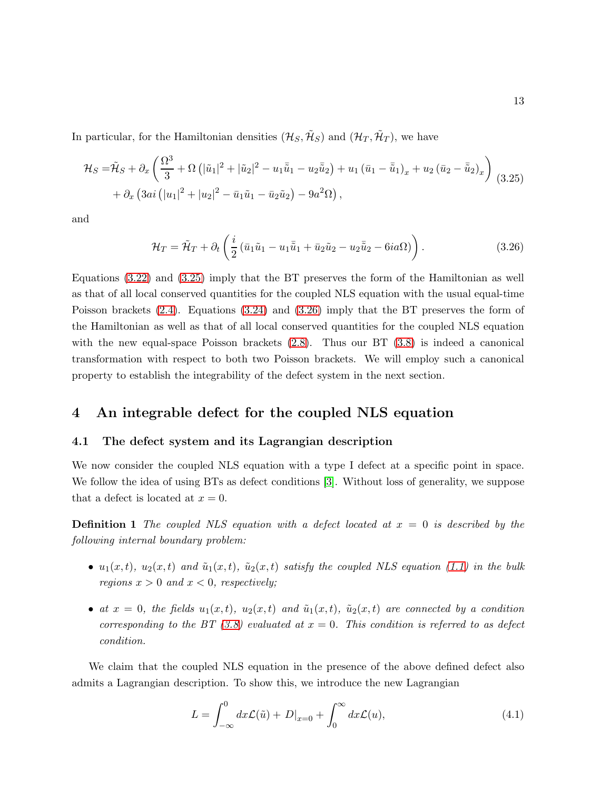In particular, for the Hamiltonian densities  $(\mathcal{H}_S, \tilde{\mathcal{H}}_S)$  and  $(\mathcal{H}_T, \tilde{\mathcal{H}}_T)$ , we have

<span id="page-12-0"></span>
$$
\mathcal{H}_S = \tilde{\mathcal{H}}_S + \partial_x \left( \frac{\Omega^3}{3} + \Omega \left( |\tilde{u}_1|^2 + |\tilde{u}_2|^2 - u_1 \bar{\tilde{u}}_1 - u_2 \bar{\tilde{u}}_2 \right) + u_1 (\bar{u}_1 - \bar{\tilde{u}}_1)_x + u_2 (\bar{u}_2 - \bar{\tilde{u}}_2)_x \right) \tag{3.25}
$$
  
+  $\partial_x \left( 3ai \left( |u_1|^2 + |u_2|^2 - \bar{u}_1 \tilde{u}_1 - \bar{u}_2 \tilde{u}_2 \right) - 9a^2 \Omega \right),$ 

and

<span id="page-12-1"></span>
$$
\mathcal{H}_T = \tilde{\mathcal{H}}_T + \partial_t \left( \frac{i}{2} \left( \bar{u}_1 \tilde{u}_1 - u_1 \bar{\tilde{u}}_1 + \bar{u}_2 \tilde{u}_2 - u_2 \bar{\tilde{u}}_2 - 6ia\Omega \right) \right).
$$
 (3.26)

Equations [\(3.22\)](#page-11-3) and [\(3.25\)](#page-12-0) imply that the BT preserves the form of the Hamiltonian as well as that of all local conserved quantities for the coupled NLS equation with the usual equal-time Poisson brackets [\(2.4\)](#page-3-1). Equations [\(3.24\)](#page-11-4) and [\(3.26\)](#page-12-1) imply that the BT preserves the form of the Hamiltonian as well as that of all local conserved quantities for the coupled NLS equation with the new equal-space Poisson brackets  $(2.8)$ . Thus our BT  $(3.8)$  is indeed a canonical transformation with respect to both two Poisson brackets. We will employ such a canonical property to establish the integrability of the defect system in the next section.

### 4 An integrable defect for the coupled NLS equation

#### 4.1 The defect system and its Lagrangian description

We now consider the coupled NLS equation with a type I defect at a specific point in space. We follow the idea of using BTs as defect conditions [\[3\]](#page-29-2). Without loss of generality, we suppose that a defect is located at  $x = 0$ .

**Definition 1** The coupled NLS equation with a defect located at  $x = 0$  is described by the following internal boundary problem:

- $u_1(x,t)$ ,  $u_2(x,t)$  and  $\tilde{u}_1(x,t)$ ,  $\tilde{u}_2(x,t)$  satisfy the coupled NLS equation [\(1.1\)](#page-0-0) in the bulk regions  $x > 0$  and  $x < 0$ , respectively;
- at  $x = 0$ , the fields  $u_1(x,t)$ ,  $u_2(x,t)$  and  $\tilde{u}_1(x,t)$ ,  $\tilde{u}_2(x,t)$  are connected by a condition corresponding to the BT [\(3.8\)](#page-9-2) evaluated at  $x = 0$ . This condition is referred to as defect condition.

We claim that the coupled NLS equation in the presence of the above defined defect also admits a Lagrangian description. To show this, we introduce the new Lagrangian

$$
L = \int_{-\infty}^{0} dx \mathcal{L}(\tilde{u}) + D|_{x=0} + \int_{0}^{\infty} dx \mathcal{L}(u),
$$
\n(4.1)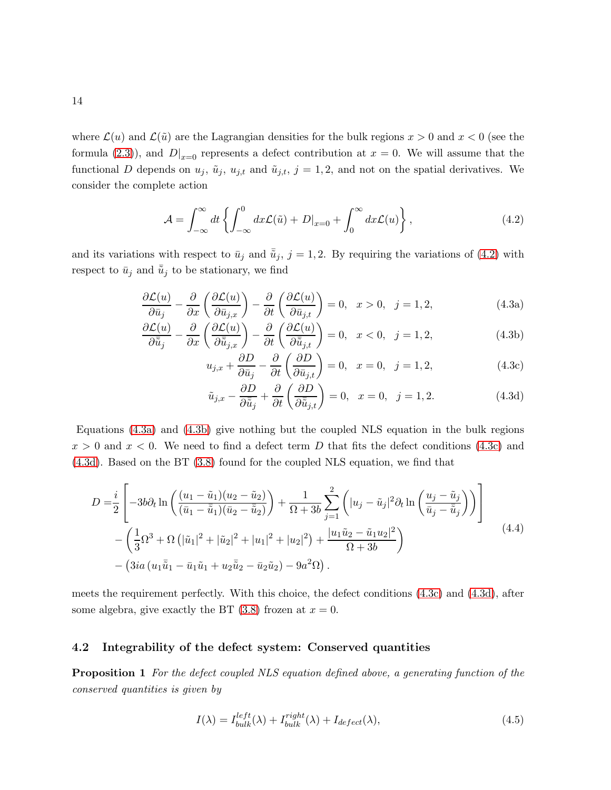where  $\mathcal{L}(u)$  and  $\mathcal{L}(\tilde{u})$  are the Lagrangian densities for the bulk regions  $x > 0$  and  $x < 0$  (see the formula [\(2.3\)](#page-3-3)), and  $D|_{x=0}$  represents a defect contribution at  $x=0$ . We will assume that the functional D depends on  $u_j$ ,  $\tilde{u}_j$ ,  $u_{j,t}$  and  $\tilde{u}_{j,t}$ ,  $j = 1, 2$ , and not on the spatial derivatives. We consider the complete action

<span id="page-13-0"></span>
$$
\mathcal{A} = \int_{-\infty}^{\infty} dt \left\{ \int_{-\infty}^{0} dx \mathcal{L}(\tilde{u}) + D|_{x=0} + \int_{0}^{\infty} dx \mathcal{L}(u) \right\},\tag{4.2}
$$

and its variations with respect to  $\bar{u}_j$  and  $\bar{\tilde{u}}_j$ , j = 1, 2. By requiring the variations of [\(4.2\)](#page-13-0) with respect to  $\bar{u}_j$  and  $\bar{\tilde{u}}_j$  to be stationary, we find

<span id="page-13-1"></span>
$$
\frac{\partial \mathcal{L}(u)}{\partial \bar{u}_j} - \frac{\partial}{\partial x} \left( \frac{\partial \mathcal{L}(u)}{\partial \bar{u}_{j,x}} \right) - \frac{\partial}{\partial t} \left( \frac{\partial \mathcal{L}(u)}{\partial \bar{u}_{j,t}} \right) = 0, \quad x > 0, \quad j = 1, 2,
$$
\n(4.3a)

$$
\frac{\partial \mathcal{L}(u)}{\partial \tilde{\tilde{u}}_j} - \frac{\partial}{\partial x} \left( \frac{\partial \mathcal{L}(u)}{\partial \tilde{\tilde{u}}_{j,x}} \right) - \frac{\partial}{\partial t} \left( \frac{\partial \mathcal{L}(u)}{\partial \tilde{\tilde{u}}_{j,t}} \right) = 0, \quad x < 0, \quad j = 1, 2,\tag{4.3b}
$$

$$
u_{j,x} + \frac{\partial D}{\partial \bar{u}_j} - \frac{\partial}{\partial t} \left( \frac{\partial D}{\partial \bar{u}_{j,t}} \right) = 0, \quad x = 0, \quad j = 1, 2,
$$
 (4.3c)

$$
\tilde{u}_{j,x} - \frac{\partial D}{\partial \tilde{\bar{u}}_j} + \frac{\partial}{\partial t} \left( \frac{\partial D}{\partial \tilde{\bar{u}}_{j,t}} \right) = 0, \quad x = 0, \quad j = 1, 2. \tag{4.3d}
$$

Equations [\(4.3a\)](#page-13-1) and [\(4.3b\)](#page-13-1) give nothing but the coupled NLS equation in the bulk regions  $x > 0$  and  $x < 0$ . We need to find a defect term D that fits the defect conditions [\(4.3c\)](#page-13-1) and [\(4.3d\)](#page-13-1). Based on the BT [\(3.8\)](#page-9-2) found for the coupled NLS equation, we find that

<span id="page-13-3"></span>
$$
D = \frac{i}{2} \left[ -3b\partial_t \ln \left( \frac{(u_1 - \tilde{u}_1)(u_2 - \tilde{u}_2)}{(\tilde{u}_1 - \tilde{u}_1)(\tilde{u}_2 - \tilde{u}_2)} \right) + \frac{1}{\Omega + 3b} \sum_{j=1}^2 \left( |u_j - \tilde{u}_j|^2 \partial_t \ln \left( \frac{u_j - \tilde{u}_j}{\tilde{u}_j - \tilde{u}_j} \right) \right) \right] - \left( \frac{1}{3} \Omega^3 + \Omega \left( |\tilde{u}_1|^2 + |\tilde{u}_2|^2 + |u_1|^2 + |u_2|^2 \right) + \frac{|u_1 \tilde{u}_2 - \tilde{u}_1 u_2|^2}{\Omega + 3b} \right) - \left( 3ia \left( u_1 \tilde{\tilde{u}}_1 - \bar{u}_1 \tilde{u}_1 + u_2 \tilde{\tilde{u}}_2 - \bar{u}_2 \tilde{u}_2 \right) - 9a^2 \Omega \right).
$$
\n
$$
(4.4)
$$

meets the requirement perfectly. With this choice, the defect conditions [\(4.3c\)](#page-13-1) and [\(4.3d\)](#page-13-1), after some algebra, give exactly the BT  $(3.8)$  frozen at  $x = 0$ .

#### 4.2 Integrability of the defect system: Conserved quantities

**Proposition 1** For the defect coupled NLS equation defined above, a generating function of the conserved quantities is given by

<span id="page-13-2"></span>
$$
I(\lambda) = I_{bulk}^{left}(\lambda) + I_{bulk}^{right}(\lambda) + I_{defect}(\lambda), \qquad (4.5)
$$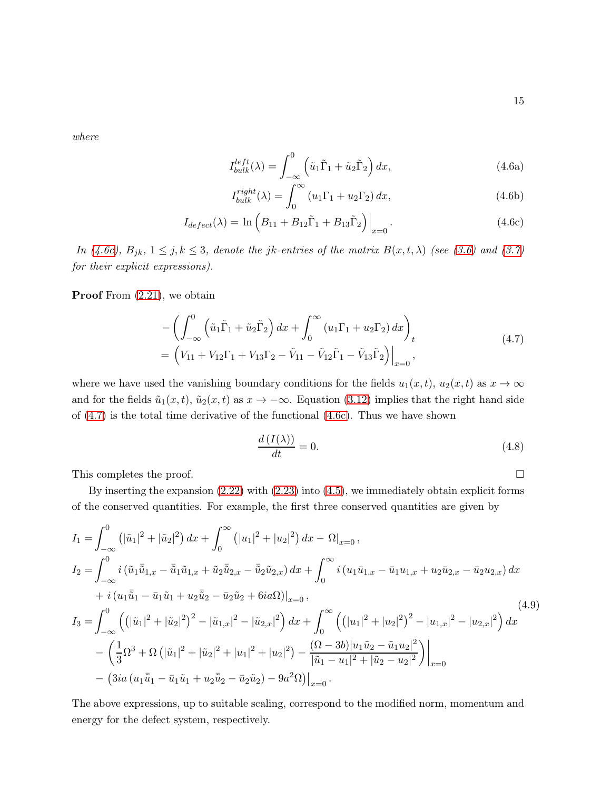where

<span id="page-14-0"></span>
$$
I_{bulk}^{left}(\lambda) = \int_{-\infty}^{0} \left(\tilde{u}_1 \tilde{\Gamma}_1 + \tilde{u}_2 \tilde{\Gamma}_2\right) dx,\tag{4.6a}
$$

$$
I_{bulk}^{right}(\lambda) = \int_0^\infty \left( u_1 \Gamma_1 + u_2 \Gamma_2 \right) dx,\tag{4.6b}
$$

$$
I_{defect}(\lambda) = \ln \left( B_{11} + B_{12} \tilde{\Gamma}_1 + B_{13} \tilde{\Gamma}_2 \right) \Big|_{x=0}.
$$
 (4.6c)

In [\(4.6c\)](#page-14-0),  $B_{jk}$ ,  $1 \le j, k \le 3$ , denote the jk-entries of the matrix  $B(x,t,\lambda)$  (see [\(3.6\)](#page-9-0) and [\(3.7\)](#page-9-1) for their explicit expressions).

**Proof** From  $(2.21)$ , we obtain

<span id="page-14-1"></span>
$$
-\left(\int_{-\infty}^{0} \left(\tilde{u}_{1}\tilde{\Gamma}_{1} + \tilde{u}_{2}\tilde{\Gamma}_{2}\right)dx + \int_{0}^{\infty} \left(u_{1}\Gamma_{1} + u_{2}\Gamma_{2}\right)dx\right)_{t}
$$
  
=  $\left(V_{11} + V_{12}\Gamma_{1} + V_{13}\Gamma_{2} - \tilde{V}_{11} - \tilde{V}_{12}\tilde{\Gamma}_{1} - \tilde{V}_{13}\tilde{\Gamma}_{2}\right)\Big|_{x=0},$  (4.7)

where we have used the vanishing boundary conditions for the fields  $u_1(x, t)$ ,  $u_2(x, t)$  as  $x \to \infty$ and for the fields  $\tilde{u}_1(x, t)$ ,  $\tilde{u}_2(x, t)$  as  $x \to -\infty$ . Equation [\(3.12\)](#page-10-1) implies that the right hand side of [\(4.7\)](#page-14-1) is the total time derivative of the functional [\(4.6c\)](#page-14-0). Thus we have shown

$$
\frac{d(I(\lambda))}{dt} = 0.\t(4.8)
$$

This completes the proof.  $\Box$ 

By inserting the expansion [\(2.22\)](#page-6-0) with [\(2.23\)](#page-6-1) into [\(4.5\)](#page-13-2), we immediately obtain explicit forms of the conserved quantities. For example, the first three conserved quantities are given by

$$
I_{1} = \int_{-\infty}^{0} \left( |\tilde{u}_{1}|^{2} + |\tilde{u}_{2}|^{2} \right) dx + \int_{0}^{\infty} \left( |u_{1}|^{2} + |u_{2}|^{2} \right) dx - \Omega|_{x=0},
$$
  
\n
$$
I_{2} = \int_{-\infty}^{0} i \left( \tilde{u}_{1} \bar{\tilde{u}}_{1,x} - \bar{\tilde{u}}_{1} \tilde{u}_{1,x} + \tilde{u}_{2} \bar{\tilde{u}}_{2,x} - \bar{\tilde{u}}_{2} \tilde{u}_{2,x} \right) dx + \int_{0}^{\infty} i \left( u_{1} \bar{u}_{1,x} - \bar{u}_{1} u_{1,x} + u_{2} \bar{u}_{2,x} - \bar{u}_{2} u_{2,x} \right) dx
$$
  
\n
$$
+ i \left( u_{1} \bar{\tilde{u}}_{1} - \bar{u}_{1} \tilde{u}_{1} + u_{2} \bar{\tilde{u}}_{2} - \bar{u}_{2} \tilde{u}_{2} + 6i a \Omega \right) \Big|_{x=0},
$$
  
\n
$$
I_{3} = \int_{-\infty}^{0} \left( \left( |\tilde{u}_{1}|^{2} + |\tilde{u}_{2}|^{2} \right)^{2} - |\tilde{u}_{1,x}|^{2} - |\tilde{u}_{2,x}|^{2} \right) dx + \int_{0}^{\infty} \left( \left( |u_{1}|^{2} + |u_{2}|^{2} \right)^{2} - |u_{1,x}|^{2} - |u_{2,x}|^{2} \right) dx
$$
  
\n
$$
- \left( \frac{1}{3} \Omega^{3} + \Omega \left( |\tilde{u}_{1}|^{2} + |\tilde{u}_{2}|^{2} + |u_{1}|^{2} + |u_{2}|^{2} \right) - \frac{(\Omega - 3b)|u_{1} \tilde{u}_{2} - \tilde{u}_{1} u_{2}|^{2}}{|\tilde{u}_{1} - u_{1}|^{2} + |\tilde{u}_{2} - u_{2}|^{2}} \right) \Big|_{x=0}
$$
  
\n
$$
- \left( 3ia \left( u_{1} \bar{\tilde{u}}_{1} - \bar{u}_{1} \tilde{u}_{1} + u_{2} \bar{\tilde{u}}_{
$$

The above expressions, up to suitable scaling, correspond to the modified norm, momentum and energy for the defect system, respectively.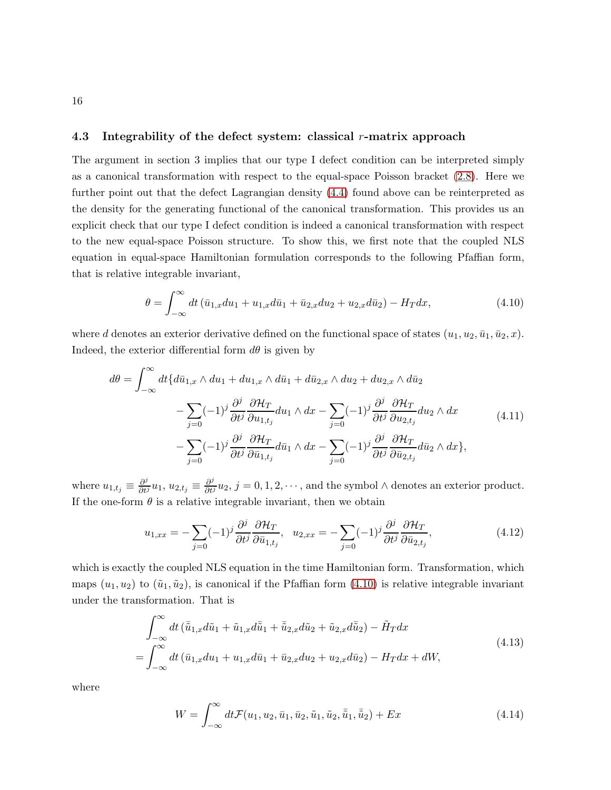#### 4.3 Integrability of the defect system: classical r-matrix approach

The argument in section 3 implies that our type I defect condition can be interpreted simply as a canonical transformation with respect to the equal-space Poisson bracket [\(2.8\)](#page-3-0). Here we further point out that the defect Lagrangian density [\(4.4\)](#page-13-3) found above can be reinterpreted as the density for the generating functional of the canonical transformation. This provides us an explicit check that our type I defect condition is indeed a canonical transformation with respect to the new equal-space Poisson structure. To show this, we first note that the coupled NLS equation in equal-space Hamiltonian formulation corresponds to the following Pfaffian form, that is relative integrable invariant,

<span id="page-15-0"></span>
$$
\theta = \int_{-\infty}^{\infty} dt \left( \bar{u}_{1,x} du_1 + u_{1,x} d\bar{u}_1 + \bar{u}_{2,x} du_2 + u_{2,x} d\bar{u}_2 \right) - H_T dx, \tag{4.10}
$$

where d denotes an exterior derivative defined on the functional space of states  $(u_1, u_2, \bar{u}_1, \bar{u}_2, x)$ . Indeed, the exterior differential form  $d\theta$  is given by

$$
d\theta = \int_{-\infty}^{\infty} dt \{ d\bar{u}_{1,x} \wedge du_1 + du_{1,x} \wedge d\bar{u}_1 + d\bar{u}_{2,x} \wedge du_2 + du_{2,x} \wedge d\bar{u}_2 - \sum_{j=0} (-1)^j \frac{\partial^j}{\partial t^j} \frac{\partial \mathcal{H}_T}{\partial u_{1,t_j}} du_1 \wedge dx - \sum_{j=0} (-1)^j \frac{\partial^j}{\partial t^j} \frac{\partial \mathcal{H}_T}{\partial u_{2,t_j}} du_2 \wedge dx - \sum_{j=0} (-1)^j \frac{\partial^j}{\partial t^j} \frac{\partial \mathcal{H}_T}{\partial \bar{u}_{1,t_j}} d\bar{u}_1 \wedge dx - \sum_{j=0} (-1)^j \frac{\partial^j}{\partial t^j} \frac{\partial \mathcal{H}_T}{\partial \bar{u}_{2,t_j}} d\bar{u}_2 \wedge dx \},
$$
\n(4.11)

where  $u_{1,t_j} \equiv \frac{\partial^j}{\partial t^j} u_1, u_{2,t_j} \equiv \frac{\partial^j}{\partial t^j} u_2, j = 0, 1, 2, \cdots$ , and the symbol  $\wedge$  denotes an exterior product. If the one-form  $\theta$  is a relative integrable invariant, then we obtain

$$
u_{1,xx} = -\sum_{j=0} (-1)^j \frac{\partial^j}{\partial t^j} \frac{\partial \mathcal{H}_T}{\partial \bar{u}_{1,t_j}}, \quad u_{2,xx} = -\sum_{j=0} (-1)^j \frac{\partial^j}{\partial t^j} \frac{\partial \mathcal{H}_T}{\partial \bar{u}_{2,t_j}},\tag{4.12}
$$

which is exactly the coupled NLS equation in the time Hamiltonian form. Transformation, which maps  $(u_1, u_2)$  to  $(\tilde{u}_1, \tilde{u}_2)$ , is canonical if the Pfaffian form  $(4.10)$  is relative integrable invariant under the transformation. That is

<span id="page-15-1"></span>
$$
\int_{-\infty}^{\infty} dt \left( \bar{\tilde{u}}_{1,x} d\tilde{u}_1 + \tilde{u}_{1,x} d\bar{\tilde{u}}_1 + \bar{\tilde{u}}_{2,x} d\tilde{u}_2 + \tilde{u}_{2,x} d\bar{\tilde{u}}_2 \right) - \tilde{H}_T dx
$$
\n
$$
= \int_{-\infty}^{\infty} dt \left( \bar{u}_{1,x} du_1 + u_{1,x} d\bar{u}_1 + \bar{u}_{2,x} du_2 + u_{2,x} d\bar{u}_2 \right) - H_T dx + dW,
$$
\n(4.13)

where

$$
W = \int_{-\infty}^{\infty} dt \mathcal{F}(u_1, u_2, \bar{u}_1, \bar{u}_2, \tilde{u}_1, \tilde{u}_2, \bar{\tilde{u}}_1, \bar{\tilde{u}}_2) + Ex
$$
 (4.14)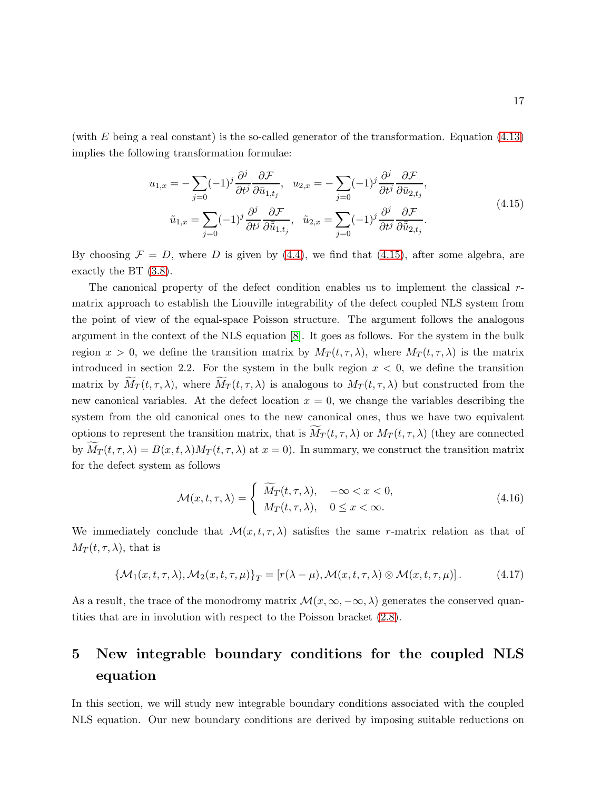(with  $E$  being a real constant) is the so-called generator of the transformation. Equation  $(4.13)$ implies the following transformation formulae:

<span id="page-16-0"></span>
$$
u_{1,x} = -\sum_{j=0} (-1)^j \frac{\partial^j}{\partial t^j} \frac{\partial \mathcal{F}}{\partial \bar{u}_{1,t_j}}, \quad u_{2,x} = -\sum_{j=0} (-1)^j \frac{\partial^j}{\partial t^j} \frac{\partial \mathcal{F}}{\partial \bar{u}_{2,t_j}},
$$
  

$$
\tilde{u}_{1,x} = \sum_{j=0} (-1)^j \frac{\partial^j}{\partial t^j} \frac{\partial \mathcal{F}}{\partial \bar{\bar{u}}_{1,t_j}}, \quad \tilde{u}_{2,x} = \sum_{j=0} (-1)^j \frac{\partial^j}{\partial t^j} \frac{\partial \mathcal{F}}{\partial \bar{\bar{u}}_{2,t_j}}.
$$
\n(4.15)

By choosing  $\mathcal{F} = D$ , where D is given by [\(4.4\)](#page-13-3), we find that [\(4.15\)](#page-16-0), after some algebra, are exactly the BT [\(3.8\)](#page-9-2).

The canonical property of the defect condition enables us to implement the classical  $r$ matrix approach to establish the Liouville integrability of the defect coupled NLS system from the point of view of the equal-space Poisson structure. The argument follows the analogous argument in the context of the NLS equation [\[8\]](#page-30-5). It goes as follows. For the system in the bulk region  $x > 0$ , we define the transition matrix by  $M_T(t, \tau, \lambda)$ , where  $M_T(t, \tau, \lambda)$  is the matrix introduced in section 2.2. For the system in the bulk region  $x < 0$ , we define the transition matrix by  $\widetilde{M}_T(t,\tau,\lambda)$ , where  $\widetilde{M}_T(t,\tau,\lambda)$  is analogous to  $M_T(t,\tau,\lambda)$  but constructed from the new canonical variables. At the defect location  $x = 0$ , we change the variables describing the system from the old canonical ones to the new canonical ones, thus we have two equivalent options to represent the transition matrix, that is  $\widetilde{M}_T(t, \tau, \lambda)$  or  $M_T(t, \tau, \lambda)$  (they are connected by  $\widetilde{M}_T(t,\tau,\lambda) = B(x,t,\lambda)M_T(t,\tau,\lambda)$  at  $x=0$ ). In summary, we construct the transition matrix for the defect system as follows

$$
\mathcal{M}(x,t,\tau,\lambda) = \begin{cases} \widetilde{M}_T(t,\tau,\lambda), & -\infty < x < 0, \\ M_T(t,\tau,\lambda), & 0 \le x < \infty. \end{cases}
$$
\n(4.16)

We immediately conclude that  $\mathcal{M}(x, t, \tau, \lambda)$  satisfies the same r-matrix relation as that of  $M_T(t,\tau,\lambda)$ , that is

$$
\left\{ \mathcal{M}_1(x, t, \tau, \lambda), \mathcal{M}_2(x, t, \tau, \mu) \right\}_T = \left[ r(\lambda - \mu), \mathcal{M}(x, t, \tau, \lambda) \otimes \mathcal{M}(x, t, \tau, \mu) \right]. \tag{4.17}
$$

As a result, the trace of the monodromy matrix  $\mathcal{M}(x,\infty,-\infty,\lambda)$  generates the conserved quantities that are in involution with respect to the Poisson bracket [\(2.8\)](#page-3-0).

## 5 New integrable boundary conditions for the coupled NLS equation

In this section, we will study new integrable boundary conditions associated with the coupled NLS equation. Our new boundary conditions are derived by imposing suitable reductions on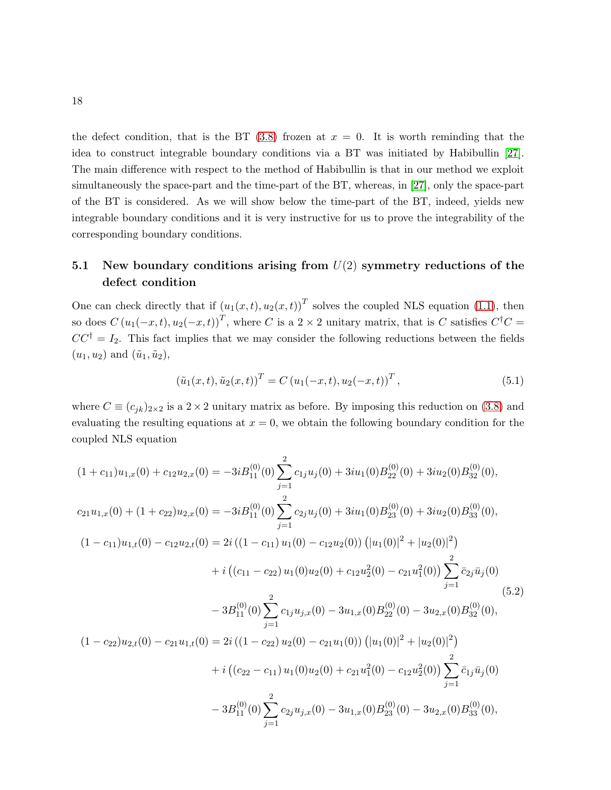the defect condition, that is the BT  $(3.8)$  frozen at  $x = 0$ . It is worth reminding that the idea to construct integrable boundary conditions via a BT was initiated by Habibullin [\[27\]](#page-31-6). The main difference with respect to the method of Habibullin is that in our method we exploit simultaneously the space-part and the time-part of the BT, whereas, in [\[27\]](#page-31-6), only the space-part of the BT is considered. As we will show below the time-part of the BT, indeed, yields new integrable boundary conditions and it is very instructive for us to prove the integrability of the corresponding boundary conditions.

### 5.1 New boundary conditions arising from  $U(2)$  symmetry reductions of the defect condition

One can check directly that if  $(u_1(x,t), u_2(x,t))^T$  solves the coupled NLS equation [\(1.1\)](#page-0-0), then so does  $C(u_1(-x,t), u_2(-x,t))^T$ , where C is a 2 × 2 unitary matrix, that is C satisfies  $C^{\dagger}C =$  $CC^{\dagger} = I_2$ . This fact implies that we may consider the following reductions between the fields  $(u_1, u_2)$  and  $(\tilde{u}_1, \tilde{u}_2)$ ,

<span id="page-17-0"></span>
$$
(\tilde{u}_1(x,t), \tilde{u}_2(x,t))^T = C (u_1(-x,t), u_2(-x,t))^T,
$$
\n(5.1)

where  $C \equiv (c_{jk})_{2\times 2}$  is a  $2\times 2$  unitary matrix as before. By imposing this reduction on [\(3.8\)](#page-9-2) and evaluating the resulting equations at  $x = 0$ , we obtain the following boundary condition for the coupled NLS equation

<span id="page-17-1"></span>
$$
(1 + c_{11})u_{1,x}(0) + c_{12}u_{2,x}(0) = -3iB_{11}^{(0)}(0)\sum_{j=1}^{2}c_{1j}u_{j}(0) + 3iu_{1}(0)B_{22}^{(0)}(0) + 3iu_{2}(0)B_{32}^{(0)}(0),
$$
  
\n
$$
c_{21}u_{1,x}(0) + (1 + c_{22})u_{2,x}(0) = -3iB_{11}^{(0)}(0)\sum_{j=1}^{2}c_{2j}u_{j}(0) + 3iu_{1}(0)B_{23}^{(0)}(0) + 3iu_{2}(0)B_{33}^{(0)}(0),
$$
  
\n
$$
(1 - c_{11})u_{1,t}(0) - c_{12}u_{2,t}(0) = 2i((1 - c_{11})u_{1}(0) - c_{12}u_{2}(0))(|u_{1}(0)|^{2} + |u_{2}(0)|^{2}) + i((c_{11} - c_{22})u_{1}(0)u_{2}(0) + c_{12}u_{2}^{2}(0) - c_{21}u_{1}^{2}(0))\sum_{j=1}^{2} \bar{c}_{2j}\bar{u}_{j}(0)
$$
  
\n
$$
-3B_{11}^{(0)}(0)\sum_{j=1}^{2}c_{1j}u_{j,x}(0) - 3u_{1,x}(0)B_{22}^{(0)}(0) - 3u_{2,x}(0)B_{32}^{(0)}(0),
$$
  
\n
$$
(1 - c_{22})u_{2,t}(0) - c_{21}u_{1,t}(0) = 2i((1 - c_{22})u_{2}(0) - c_{21}u_{1}(0))(|u_{1}(0)|^{2} + |u_{2}(0)|^{2}) + i((c_{22} - c_{11})u_{1}(0)u_{2}(0) + c_{21}u_{1}^{2}(0) - c_{12}u_{2}^{2}(0))\sum_{j=1}^{2} \bar{c}_{1j}\bar{u}_{j}(0) -3u_{2,x}(0)B_{33}^{(0)}(0),
$$
  
\n
$$
-3B_{11}^{(0)}(0)\sum_{j=1}^{2}c_{2j}u_{j,x}(0) - 3u_{1,x}(0)B_{23}^{(0)}(0) - 3u_{2,x}(0)B_{
$$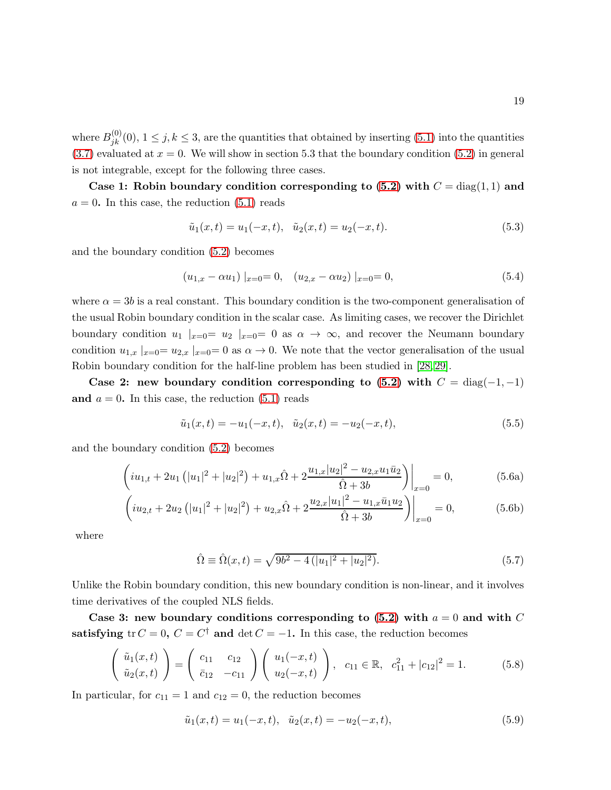where  $B_{jk}^{(0)}(0)$ ,  $1 \leq j, k \leq 3$ , are the quantities that obtained by inserting [\(5.1\)](#page-17-0) into the quantities  $(3.7)$  evaluated at  $x = 0$ . We will show in section 5.3 that the boundary condition  $(5.2)$  in general is not integrable, except for the following three cases.

Case 1: Robin boundary condition corresponding to  $(5.2)$  with  $C = diag(1, 1)$  and  $a = 0$ . In this case, the reduction  $(5.1)$  reads

$$
\tilde{u}_1(x,t) = u_1(-x,t), \quad \tilde{u}_2(x,t) = u_2(-x,t). \tag{5.3}
$$

and the boundary condition [\(5.2\)](#page-17-1) becomes

<span id="page-18-1"></span>
$$
(u_{1,x} - \alpha u_1) |_{x=0} = 0, \quad (u_{2,x} - \alpha u_2) |_{x=0} = 0,
$$
\n
$$
(5.4)
$$

where  $\alpha = 3b$  is a real constant. This boundary condition is the two-component generalisation of the usual Robin boundary condition in the scalar case. As limiting cases, we recover the Dirichlet boundary condition  $u_1 |_{x=0} = u_2 |_{x=0} = 0$  as  $\alpha \to \infty$ , and recover the Neumann boundary condition  $u_{1,x} |_{x=0} = u_{2,x} |_{x=0} = 0$  as  $\alpha \to 0$ . We note that the vector generalisation of the usual Robin boundary condition for the half-line problem has been studied in [\[28,](#page-31-7) [29\]](#page-31-8).

Case 2: new boundary condition corresponding to [\(5.2\)](#page-17-1) with  $C = \text{diag}(-1, -1)$ and  $a = 0$ . In this case, the reduction  $(5.1)$  reads

$$
\tilde{u}_1(x,t) = -u_1(-x,t), \quad \tilde{u}_2(x,t) = -u_2(-x,t), \tag{5.5}
$$

and the boundary condition [\(5.2\)](#page-17-1) becomes

<span id="page-18-2"></span>
$$
\left(iu_{1,t} + 2u_1\left(|u_1|^2 + |u_2|^2\right) + u_{1,x}\hat{\Omega} + 2\frac{u_{1,x}|u_2|^2 - u_{2,x}u_1\bar{u}_2}{\hat{\Omega} + 3b}\right)\Big|_{x=0} = 0,\tag{5.6a}
$$

$$
\left(iu_{2,t} + 2u_2\left(|u_1|^2 + |u_2|^2\right) + u_{2,x}\hat{\Omega} + 2\frac{u_{2,x}|u_1|^2 - u_{1,x}\bar{u}_1u_2}{\hat{\Omega} + 3b}\right)\Big|_{x=0} = 0,\tag{5.6b}
$$

where

<span id="page-18-3"></span>
$$
\hat{\Omega} \equiv \hat{\Omega}(x,t) = \sqrt{9b^2 - 4(|u_1|^2 + |u_2|^2)}.
$$
\n(5.7)

Unlike the Robin boundary condition, this new boundary condition is non-linear, and it involves time derivatives of the coupled NLS fields.

Case 3: new boundary conditions corresponding to  $(5.2)$  with  $a = 0$  and with C satisfying tr  $C = 0$ ,  $C = C^{\dagger}$  and  $\det C = -1$ . In this case, the reduction becomes

<span id="page-18-0"></span>
$$
\begin{pmatrix}\n\tilde{u}_1(x,t) \\
\tilde{u}_2(x,t)\n\end{pmatrix} = \begin{pmatrix}\nc_{11} & c_{12} \\
\bar{c}_{12} & -c_{11}\n\end{pmatrix} \begin{pmatrix}\nu_1(-x,t) \\
u_2(-x,t)\n\end{pmatrix}, \quad c_{11} \in \mathbb{R}, \quad c_{11}^2 + |c_{12}|^2 = 1.
$$
\n(5.8)

In particular, for  $c_{11} = 1$  and  $c_{12} = 0$ , the reduction becomes

$$
\tilde{u}_1(x,t) = u_1(-x,t), \quad \tilde{u}_2(x,t) = -u_2(-x,t), \tag{5.9}
$$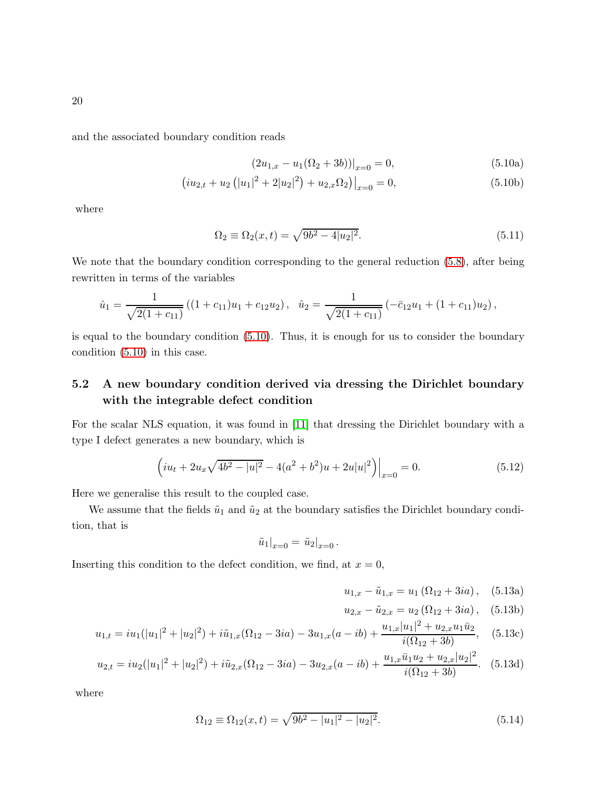and the associated boundary condition reads

<span id="page-19-0"></span>
$$
(2u_{1,x} - u_1(\Omega_2 + 3b))|_{x=0} = 0,
$$
\n(5.10a)

$$
(iu_{2,t} + u_2 (|u_1|^2 + 2|u_2|^2) + u_{2,x}\Omega_2)|_{x=0} = 0,
$$
\n(5.10b)

where

$$
\Omega_2 \equiv \Omega_2(x, t) = \sqrt{9b^2 - 4|u_2|^2}.
$$
\n(5.11)

We note that the boundary condition corresponding to the general reduction  $(5.8)$ , after being rewritten in terms of the variables

$$
\hat{u}_1 = \frac{1}{\sqrt{2(1+c_{11})}} ((1+c_{11})u_1 + c_{12}u_2), \quad \hat{u}_2 = \frac{1}{\sqrt{2(1+c_{11})}} (-\bar{c}_{12}u_1 + (1+c_{11})u_2),
$$

is equal to the boundary condition [\(5.10\)](#page-19-0). Thus, it is enough for us to consider the boundary condition [\(5.10\)](#page-19-0) in this case.

### 5.2 A new boundary condition derived via dressing the Dirichlet boundary with the integrable defect condition

For the scalar NLS equation, it was found in [\[11\]](#page-30-6) that dressing the Dirichlet boundary with a type I defect generates a new boundary, which is

<span id="page-19-2"></span>
$$
\left(iu_t + 2u_x\sqrt{4b^2 - |u|^2} - 4(a^2 + b^2)u + 2u|u|^2\right)\Big|_{x=0} = 0.
$$
\n(5.12)

Here we generalise this result to the coupled case.

We assume that the fields  $\tilde{u}_1$  and  $\tilde{u}_2$  at the boundary satisfies the Dirichlet boundary condition, that is

$$
\tilde{u}_1|_{x=0} = \tilde{u}_2|_{x=0}.
$$

Inserting this condition to the defect condition, we find, at  $x = 0$ ,

<span id="page-19-1"></span>
$$
u_{1,x} - \tilde{u}_{1,x} = u_1 (\Omega_{12} + 3ia), \quad (5.13a)
$$

$$
u_{2,x} - \tilde{u}_{2,x} = u_2 \left( \Omega_{12} + 3ia \right), \quad (5.13b)
$$

$$
u_{1,t} = iu_1(|u_1|^2 + |u_2|^2) + i\tilde{u}_{1,x}(\Omega_{12} - 3ia) - 3u_{1,x}(a - ib) + \frac{u_{1,x}|u_1|^2 + u_{2,x}u_1\bar{u}_2}{i(\Omega_{12} + 3b)},
$$
 (5.13c)

$$
u_{2,t} = i u_2 (|u_1|^2 + |u_2|^2) + i \tilde{u}_{2,x} (\Omega_{12} - 3ia) - 3 u_{2,x} (a - ib) + \frac{u_{1,x} \bar{u}_1 u_2 + u_{2,x} |u_2|^2}{i(\Omega_{12} + 3b)}.
$$
 (5.13d)

where

<span id="page-19-3"></span>
$$
\Omega_{12} \equiv \Omega_{12}(x,t) = \sqrt{9b^2 - |u_1|^2 - |u_2|^2}.
$$
\n(5.14)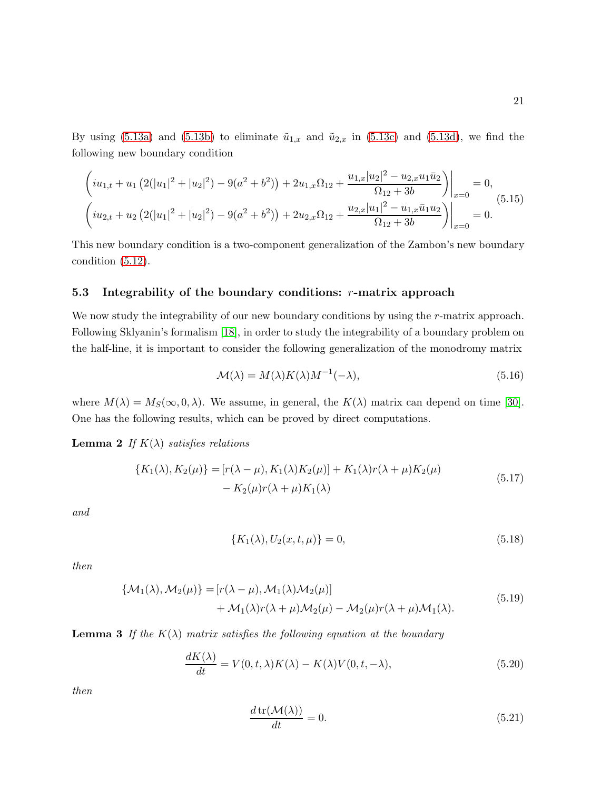By using [\(5.13a\)](#page-19-1) and [\(5.13b\)](#page-19-1) to eliminate  $\tilde{u}_{1,x}$  and  $\tilde{u}_{2,x}$  in [\(5.13c\)](#page-19-1) and [\(5.13d\)](#page-19-1), we find the following new boundary condition

<span id="page-20-4"></span>
$$
\left(iu_{1,t} + u_1\left(2(|u_1|^2 + |u_2|^2) - 9(a^2 + b^2)\right) + 2u_{1,x}\Omega_{12} + \frac{u_{1,x}|u_2|^2 - u_{2,x}u_1\bar{u}_2}{\Omega_{12} + 3b}\right)\Big|_{x=0} = 0,
$$
\n
$$
\left(iu_{2,t} + u_2\left(2(|u_1|^2 + |u_2|^2) - 9(a^2 + b^2)\right) + 2u_{2,x}\Omega_{12} + \frac{u_{2,x}|u_1|^2 - u_{1,x}\bar{u}_1u_2}{\Omega_{12} + 3b}\right)\Big|_{x=0} = 0.
$$
\n(5.15)

This new boundary condition is a two-component generalization of the Zambon's new boundary condition [\(5.12\)](#page-19-2).

#### <span id="page-20-0"></span>5.3 Integrability of the boundary conditions:  $r$ -matrix approach

We now study the integrability of our new boundary conditions by using the r-matrix approach. Following Sklyanin's formalism [\[18\]](#page-30-11), in order to study the integrability of a boundary problem on the half-line, it is important to consider the following generalization of the monodromy matrix

<span id="page-20-5"></span>
$$
\mathcal{M}(\lambda) = M(\lambda)K(\lambda)M^{-1}(-\lambda),\tag{5.16}
$$

where  $M(\lambda) = M_S(\infty, 0, \lambda)$ . We assume, in general, the  $K(\lambda)$  matrix can depend on time [\[30\]](#page-31-9). One has the following results, which can be proved by direct computations.

**Lemma 2** If  $K(\lambda)$  satisfies relations

<span id="page-20-1"></span>
$$
\{K_1(\lambda), K_2(\mu)\} = [r(\lambda - \mu), K_1(\lambda)K_2(\mu)] + K_1(\lambda)r(\lambda + \mu)K_2(\mu) - K_2(\mu)r(\lambda + \mu)K_1(\lambda)
$$
\n(5.17)

and

<span id="page-20-2"></span>
$$
\{K_1(\lambda), U_2(x, t, \mu)\} = 0,\t(5.18)
$$

then

$$
\begin{aligned} \{\mathcal{M}_1(\lambda), \mathcal{M}_2(\mu)\} &= [r(\lambda - \mu), \mathcal{M}_1(\lambda)\mathcal{M}_2(\mu)] \\ &+ \mathcal{M}_1(\lambda)r(\lambda + \mu)\mathcal{M}_2(\mu) - \mathcal{M}_2(\mu)r(\lambda + \mu)\mathcal{M}_1(\lambda). \end{aligned} \tag{5.19}
$$

**Lemma 3** If the  $K(\lambda)$  matrix satisfies the following equation at the boundary

<span id="page-20-3"></span>
$$
\frac{dK(\lambda)}{dt} = V(0, t, \lambda)K(\lambda) - K(\lambda)V(0, t, -\lambda),\tag{5.20}
$$

then

$$
\frac{d \operatorname{tr}(\mathcal{M}(\lambda))}{dt} = 0. \tag{5.21}
$$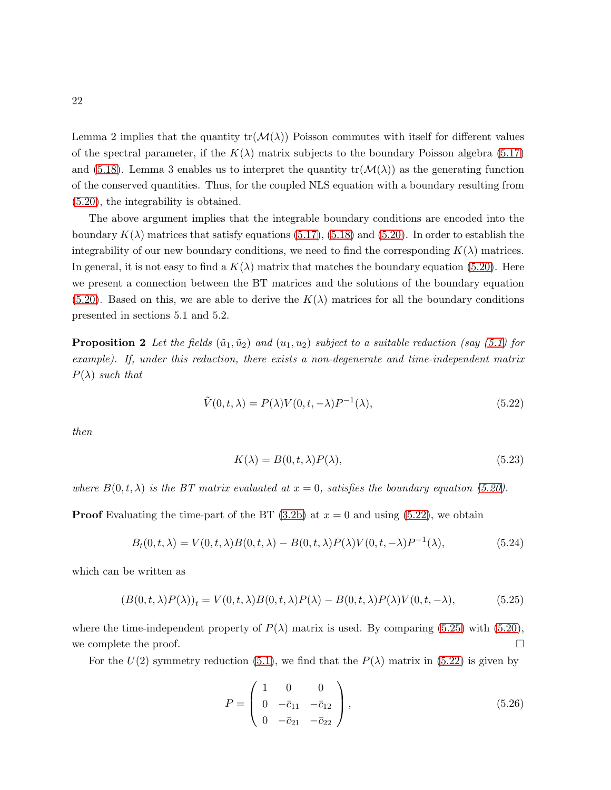Lemma 2 implies that the quantity  $tr(\mathcal{M}(\lambda))$  Poisson commutes with itself for different values of the spectral parameter, if the  $K(\lambda)$  matrix subjects to the boundary Poisson algebra [\(5.17\)](#page-20-1) and [\(5.18\)](#page-20-2). Lemma 3 enables us to interpret the quantity  $tr(\mathcal{M}(\lambda))$  as the generating function of the conserved quantities. Thus, for the coupled NLS equation with a boundary resulting from [\(5.20\)](#page-20-3), the integrability is obtained.

The above argument implies that the integrable boundary conditions are encoded into the boundary  $K(\lambda)$  matrices that satisfy equations [\(5.17\)](#page-20-1), [\(5.18\)](#page-20-2) and [\(5.20\)](#page-20-3). In order to establish the integrability of our new boundary conditions, we need to find the corresponding  $K(\lambda)$  matrices. In general, it is not easy to find a  $K(\lambda)$  matrix that matches the boundary equation [\(5.20\)](#page-20-3). Here we present a connection between the BT matrices and the solutions of the boundary equation  $(5.20)$ . Based on this, we are able to derive the  $K(\lambda)$  matrices for all the boundary conditions presented in sections 5.1 and 5.2.

**Proposition 2** Let the fields  $(\tilde{u}_1, \tilde{u}_2)$  and  $(u_1, u_2)$  subject to a suitable reduction (say [\(5.1\)](#page-17-0) for example). If, under this reduction, there exists a non-degenerate and time-independent matrix  $P(\lambda)$  such that

<span id="page-21-1"></span><span id="page-21-0"></span>
$$
\tilde{V}(0,t,\lambda) = P(\lambda)V(0,t,-\lambda)P^{-1}(\lambda),\tag{5.22}
$$

then

$$
K(\lambda) = B(0, t, \lambda)P(\lambda),\tag{5.23}
$$

where  $B(0, t, \lambda)$  is the BT matrix evaluated at  $x = 0$ , satisfies the boundary equation [\(5.20\)](#page-20-3).

**Proof** Evaluating the time-part of the BT  $(3.2b)$  at  $x = 0$  and using  $(5.22)$ , we obtain

$$
B_t(0, t, \lambda) = V(0, t, \lambda)B(0, t, \lambda) - B(0, t, \lambda)P(\lambda)V(0, t, -\lambda)P^{-1}(\lambda),
$$
\n(5.24)

which can be written as

<span id="page-21-2"></span>
$$
(B(0,t,\lambda)P(\lambda))_t = V(0,t,\lambda)B(0,t,\lambda)P(\lambda) - B(0,t,\lambda)P(\lambda)V(0,t,-\lambda),
$$
\n(5.25)

where the time-independent property of  $P(\lambda)$  matrix is used. By comparing [\(5.25\)](#page-21-2) with [\(5.20\)](#page-20-3), we complete the proof.  $\Box$ 

For the  $U(2)$  symmetry reduction [\(5.1\)](#page-17-0), we find that the  $P(\lambda)$  matrix in [\(5.22\)](#page-21-1) is given by

$$
P = \begin{pmatrix} 1 & 0 & 0 \\ 0 & -\bar{c}_{11} & -\bar{c}_{12} \\ 0 & -\bar{c}_{21} & -\bar{c}_{22} \end{pmatrix},
$$
 (5.26)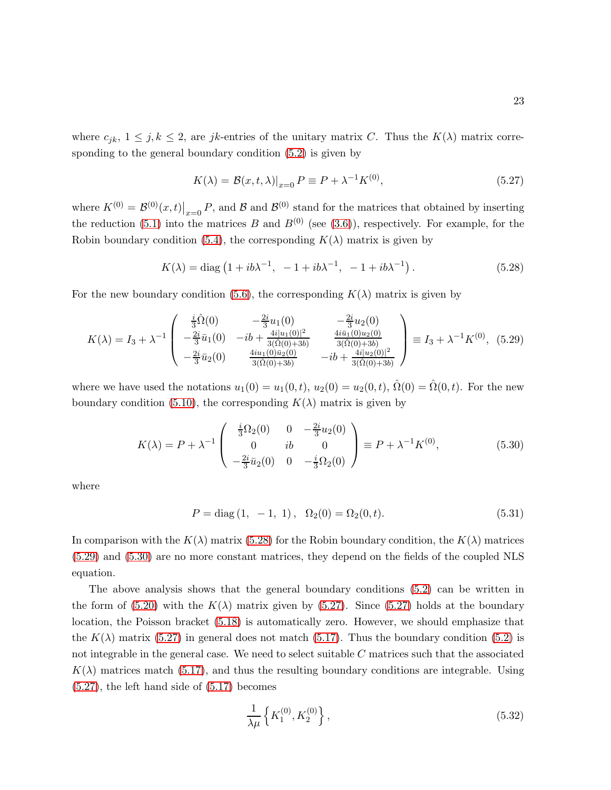where  $c_{jk}$ ,  $1 \leq j, k \leq 2$ , are jk-entries of the unitary matrix C. Thus the  $K(\lambda)$  matrix corresponding to the general boundary condition [\(5.2\)](#page-17-1) is given by

<span id="page-22-3"></span>
$$
K(\lambda) = \mathcal{B}(x, t, \lambda)|_{x=0} P \equiv P + \lambda^{-1} K^{(0)},
$$
\n(5.27)

where  $K^{(0)} = \mathcal{B}^{(0)}(x,t)|_{x=0} P$ , and  $\mathcal{B}$  and  $\mathcal{B}^{(0)}$  stand for the matrices that obtained by inserting the reduction [\(5.1\)](#page-17-0) into the matrices B and  $B^{(0)}$  (see [\(3.6\)](#page-9-0)), respectively. For example, for the Robin boundary condition [\(5.4\)](#page-18-1), the corresponding  $K(\lambda)$  matrix is given by

<span id="page-22-0"></span>
$$
K(\lambda) = \text{diag}\left(1 + ib\lambda^{-1}, -1 + ib\lambda^{-1}, -1 + ib\lambda^{-1}\right). \tag{5.28}
$$

For the new boundary condition [\(5.6\)](#page-18-2), the corresponding  $K(\lambda)$  matrix is given by

<span id="page-22-1"></span>
$$
K(\lambda) = I_3 + \lambda^{-1} \begin{pmatrix} \frac{i}{3}\hat{\Omega}(0) & -\frac{2i}{3}u_1(0) & -\frac{2i}{3}u_2(0) \\ -\frac{2i}{3}\bar{u}_1(0) & -ib + \frac{4i|u_1(0)|^2}{3(\hat{\Omega}(0) + 3b)} & \frac{4i\bar{u}_1(0)u_2(0)}{3(\hat{\Omega}(0) + 3b)} \\ -\frac{2i}{3}\bar{u}_2(0) & \frac{4iu_1(0)\bar{u}_2(0)}{3(\hat{\Omega}(0) + 3b)} & -ib + \frac{4i|u_2(0)|^2}{3(\hat{\Omega}(0) + 3b)} \end{pmatrix} \equiv I_3 + \lambda^{-1}K^{(0)}, \quad (5.29)
$$

where we have used the notations  $u_1(0) = u_1(0, t)$ ,  $u_2(0) = u_2(0, t)$ ,  $\hat{\Omega}(0) = \hat{\Omega}(0, t)$ . For the new boundary condition [\(5.10\)](#page-19-0), the corresponding  $K(\lambda)$  matrix is given by

<span id="page-22-2"></span>
$$
K(\lambda) = P + \lambda^{-1} \begin{pmatrix} \frac{i}{3} \Omega_2(0) & 0 & -\frac{2i}{3} u_2(0) \\ 0 & ib & 0 \\ -\frac{2i}{3} \bar{u}_2(0) & 0 & -\frac{i}{3} \Omega_2(0) \end{pmatrix} \equiv P + \lambda^{-1} K^{(0)},
$$
(5.30)

where

$$
P = diag(1, -1, 1), \ \Omega_2(0) = \Omega_2(0, t). \tag{5.31}
$$

In comparison with the  $K(\lambda)$  matrix [\(5.28\)](#page-22-0) for the Robin boundary condition, the  $K(\lambda)$  matrices [\(5.29\)](#page-22-1) and [\(5.30\)](#page-22-2) are no more constant matrices, they depend on the fields of the coupled NLS equation.

The above analysis shows that the general boundary conditions [\(5.2\)](#page-17-1) can be written in the form of [\(5.20\)](#page-20-3) with the  $K(\lambda)$  matrix given by [\(5.27\)](#page-22-3). Since (5.27) holds at the boundary location, the Poisson bracket [\(5.18\)](#page-20-2) is automatically zero. However, we should emphasize that the  $K(\lambda)$  matrix [\(5.27\)](#page-22-3) in general does not match [\(5.17\)](#page-20-1). Thus the boundary condition [\(5.2\)](#page-17-1) is not integrable in the general case. We need to select suitable C matrices such that the associated  $K(\lambda)$  matrices match [\(5.17\)](#page-20-1), and thus the resulting boundary conditions are integrable. Using [\(5.27\)](#page-22-3), the left hand side of [\(5.17\)](#page-20-1) becomes

<span id="page-22-4"></span>
$$
\frac{1}{\lambda \mu} \left\{ K_1^{(0)}, K_2^{(0)} \right\},\tag{5.32}
$$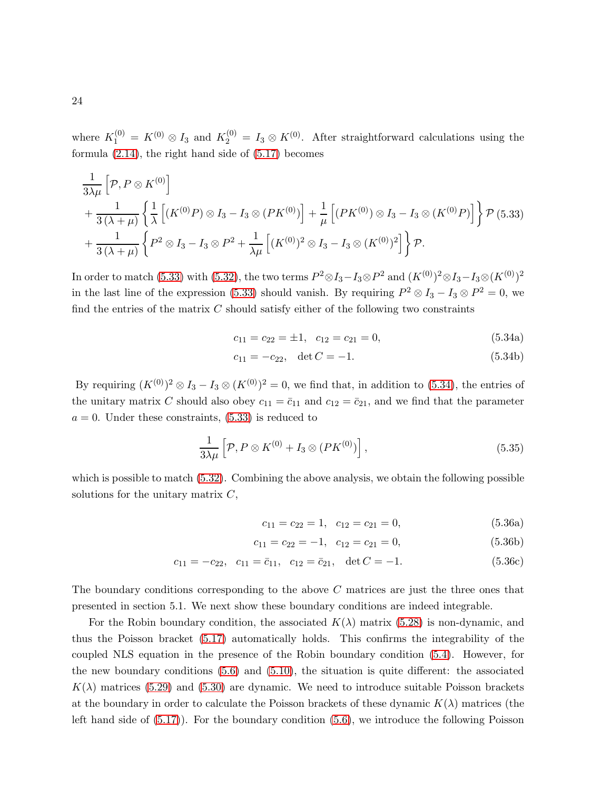where  $K_1^{(0)} = K^{(0)} \otimes I_3$  and  $K_2^{(0)} = I_3 \otimes K^{(0)}$ . After straightforward calculations using the formula [\(2.14\)](#page-4-2), the right hand side of [\(5.17\)](#page-20-1) becomes

<span id="page-23-0"></span>
$$
\frac{1}{3\lambda\mu} \left[ \mathcal{P}, P \otimes K^{(0)} \right] \n+ \frac{1}{3(\lambda + \mu)} \left\{ \frac{1}{\lambda} \left[ (K^{(0)}P) \otimes I_3 - I_3 \otimes (PK^{(0)}) \right] + \frac{1}{\mu} \left[ (PK^{(0)}) \otimes I_3 - I_3 \otimes (K^{(0)}P) \right] \right\} \mathcal{P} (5.33) \n+ \frac{1}{3(\lambda + \mu)} \left\{ P^2 \otimes I_3 - I_3 \otimes P^2 + \frac{1}{\lambda\mu} \left[ (K^{(0)})^2 \otimes I_3 - I_3 \otimes (K^{(0)})^2 \right] \right\} \mathcal{P}.
$$

In order to match [\(5.33\)](#page-23-0) with [\(5.32\)](#page-22-4), the two terms  $P^2 \otimes I_3 - I_3 \otimes P^2$  and  $(K^{(0)})^2 \otimes I_3 - I_3 \otimes (K^{(0)})^2$ in the last line of the expression [\(5.33\)](#page-23-0) should vanish. By requiring  $P^2 \otimes I_3 - I_3 \otimes P^2 = 0$ , we find the entries of the matrix  $C$  should satisfy either of the following two constraints

<span id="page-23-1"></span>
$$
c_{11} = c_{22} = \pm 1, \quad c_{12} = c_{21} = 0,\tag{5.34a}
$$

$$
c_{11} = -c_{22}, \quad \det C = -1. \tag{5.34b}
$$

By requiring  $(K^{(0)})^2 \otimes I_3 - I_3 \otimes (K^{(0)})^2 = 0$ , we find that, in addition to [\(5.34\)](#page-23-1), the entries of the unitary matrix C should also obey  $c_{11} = \bar{c}_{11}$  and  $c_{12} = \bar{c}_{21}$ , and we find that the parameter  $a = 0$ . Under these constraints,  $(5.33)$  is reduced to

<span id="page-23-2"></span>
$$
\frac{1}{3\lambda\mu} \left[ \mathcal{P}, P \otimes K^{(0)} + I_3 \otimes (PK^{(0)}) \right],\tag{5.35}
$$

which is possible to match [\(5.32\)](#page-22-4). Combining the above analysis, we obtain the following possible solutions for the unitary matrix  $C$ ,

$$
c_{11} = c_{22} = 1, \quad c_{12} = c_{21} = 0,\tag{5.36a}
$$

$$
c_{11} = c_{22} = -1, \quad c_{12} = c_{21} = 0,\tag{5.36b}
$$

$$
c_{11} = -c_{22}, \quad c_{11} = \bar{c}_{11}, \quad c_{12} = \bar{c}_{21}, \quad \det C = -1. \tag{5.36c}
$$

The boundary conditions corresponding to the above C matrices are just the three ones that presented in section 5.1. We next show these boundary conditions are indeed integrable.

For the Robin boundary condition, the associated  $K(\lambda)$  matrix [\(5.28\)](#page-22-0) is non-dynamic, and thus the Poisson bracket [\(5.17\)](#page-20-1) automatically holds. This confirms the integrability of the coupled NLS equation in the presence of the Robin boundary condition [\(5.4\)](#page-18-1). However, for the new boundary conditions  $(5.6)$  and  $(5.10)$ , the situation is quite different: the associated  $K(\lambda)$  matrices [\(5.29\)](#page-22-1) and [\(5.30\)](#page-22-2) are dynamic. We need to introduce suitable Poisson brackets at the boundary in order to calculate the Poisson brackets of these dynamic  $K(\lambda)$  matrices (the left hand side of [\(5.17\)](#page-20-1)). For the boundary condition [\(5.6\)](#page-18-2), we introduce the following Poisson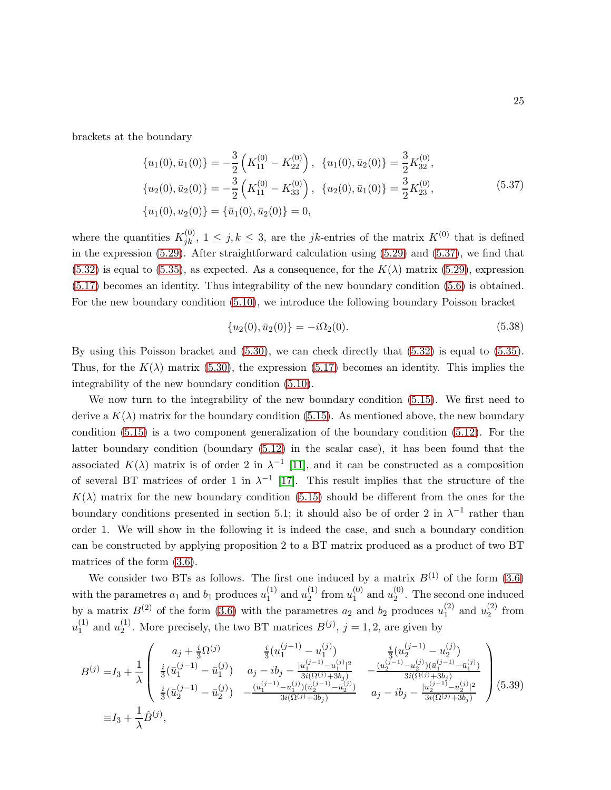brackets at the boundary

<span id="page-24-0"></span>
$$
\{u_1(0), \bar{u}_1(0)\} = -\frac{3}{2} \left( K_{11}^{(0)} - K_{22}^{(0)} \right), \quad \{u_1(0), \bar{u}_2(0)\} = \frac{3}{2} K_{32}^{(0)},
$$
  
\n
$$
\{u_2(0), \bar{u}_2(0)\} = -\frac{3}{2} \left( K_{11}^{(0)} - K_{33}^{(0)} \right), \quad \{u_2(0), \bar{u}_1(0)\} = \frac{3}{2} K_{23}^{(0)},
$$
  
\n
$$
\{u_1(0), u_2(0)\} = \{\bar{u}_1(0), \bar{u}_2(0)\} = 0,
$$
\n(5.37)

where the quantities  $K_{jk}^{(0)}$ ,  $1 \leq j, k \leq 3$ , are the *jk*-entries of the matrix  $K^{(0)}$  that is defined in the expression [\(5.29\)](#page-22-1). After straightforward calculation using [\(5.29\)](#page-22-1) and [\(5.37\)](#page-24-0), we find that  $(5.32)$  is equal to  $(5.35)$ , as expected. As a consequence, for the  $K(\lambda)$  matrix  $(5.29)$ , expression [\(5.17\)](#page-20-1) becomes an identity. Thus integrability of the new boundary condition [\(5.6\)](#page-18-2) is obtained. For the new boundary condition [\(5.10\)](#page-19-0), we introduce the following boundary Poisson bracket

$$
\{u_2(0), \bar{u}_2(0)\} = -i\Omega_2(0). \tag{5.38}
$$

By using this Poisson bracket and [\(5.30\)](#page-22-2), we can check directly that [\(5.32\)](#page-22-4) is equal to [\(5.35\)](#page-23-2). Thus, for the  $K(\lambda)$  matrix [\(5.30\)](#page-22-2), the expression [\(5.17\)](#page-20-1) becomes an identity. This implies the integrability of the new boundary condition [\(5.10\)](#page-19-0).

We now turn to the integrability of the new boundary condition [\(5.15\)](#page-20-4). We first need to derive a  $K(\lambda)$  matrix for the boundary condition [\(5.15\)](#page-20-4). As mentioned above, the new boundary condition [\(5.15\)](#page-20-4) is a two component generalization of the boundary condition [\(5.12\)](#page-19-2). For the latter boundary condition (boundary [\(5.12\)](#page-19-2) in the scalar case), it has been found that the associated  $K(\lambda)$  matrix is of order 2 in  $\lambda^{-1}$  [\[11\]](#page-30-6), and it can be constructed as a composition of several BT matrices of order 1 in  $\lambda^{-1}$  [\[17\]](#page-30-10). This result implies that the structure of the  $K(\lambda)$  matrix for the new boundary condition [\(5.15\)](#page-20-4) should be different from the ones for the boundary conditions presented in section 5.1; it should also be of order 2 in  $\lambda^{-1}$  rather than order 1. We will show in the following it is indeed the case, and such a boundary condition can be constructed by applying proposition 2 to a BT matrix produced as a product of two BT matrices of the form [\(3.6\)](#page-9-0).

We consider two BTs as follows. The first one induced by a matrix  $B^{(1)}$  of the form [\(3.6\)](#page-9-0) with the parametres  $a_1$  and  $b_1$  produces  $u_1^{(1)}$  $_1^{(1)}$  and  $u_2^{(1)}$  $_2^{(1)}$  from  $u_1^{(0)}$  $_1^{(0)}$  and  $u_2^{(0)}$  $2^{\binom{0}{2}}$ . The second one induced by a matrix  $B^{(2)}$  of the form [\(3.6\)](#page-9-0) with the parametres  $a_2$  and  $b_2$  produces  $u_1^{(2)}$  $_1^{(2)}$  and  $u_2^{(2)}$  $2^{(2)}$  from  $u_1^{(1)}$  $_1^{(1)}$  and  $u_2^{(1)}$  $2<sup>(1)</sup>$ . More precisely, the two BT matrices  $B<sup>(j)</sup>$ ,  $j = 1, 2$ , are given by

<span id="page-24-1"></span>
$$
B^{(j)} = I_3 + \frac{1}{\lambda} \begin{pmatrix} a_j + \frac{i}{3} \Omega^{(j)} & \frac{i}{3} (u_1^{(j-1)} - u_1^{(j)}) & \frac{i}{3} (u_2^{(j-1)} - u_2^{(j)}) \\ \frac{i}{3} (\bar{u}_1^{(j-1)} - \bar{u}_1^{(j)}) & a_j - ib_j - \frac{|u_1^{(j-1)} - u_1^{(j)}|^2}{3i(\Omega^{(j)} + 3b_j)} & - \frac{(u_2^{(j-1)} - u_2^{(j)})(\bar{u}_1^{(j-1)} - \bar{u}_1^{(j)})}{3i(\Omega^{(j)} + 3b_j)} \\ \frac{i}{3} (\bar{u}_2^{(j-1)} - \bar{u}_2^{(j)}) & - \frac{(u_1^{(j-1)} - u_1^{(j)})(\bar{u}_2^{(j-1)} - \bar{u}_2^{(j)})}{3i(\Omega^{(j)} + 3b_j)} & a_j - ib_j - \frac{|u_2^{(j-1)} - u_2^{(j)}|^2}{3i(\Omega^{(j)} + 3b_j)} \end{pmatrix}
$$
(5.39)  

$$
\equiv I_3 + \frac{1}{\lambda} \hat{B}^{(j)},
$$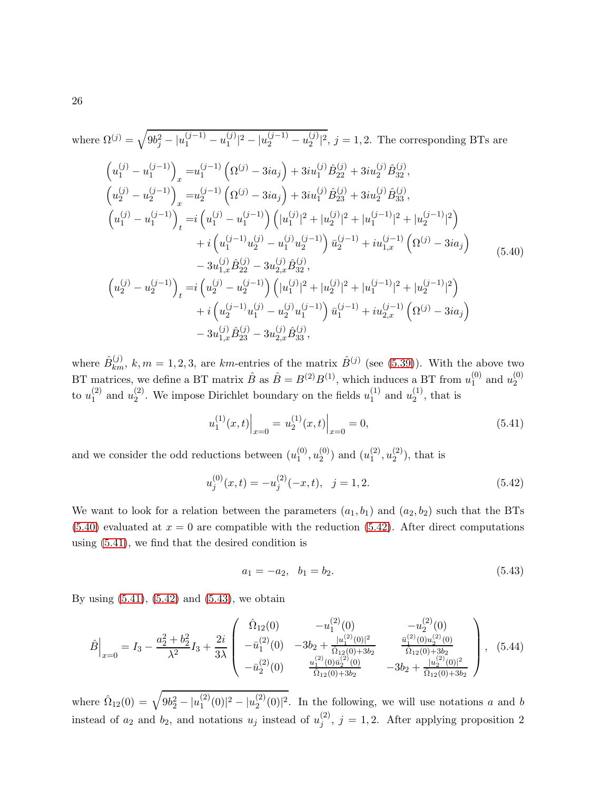<span id="page-25-0"></span>where 
$$
\Omega^{(j)} = \sqrt{9b_j^2 - |u_1^{(j-1)} - u_1^{(j)}|^2 - |u_2^{(j-1)} - u_2^{(j)}|^2}, j = 1, 2.
$$
 The corresponding BTs are\n
$$
\left(u_1^{(j)} - u_1^{(j-1)}\right)_x = u_1^{(j-1)} \left(\Omega^{(j)} - 3ia_j\right) + 3iu_1^{(j)} \hat{B}_{22}^{(j)} + 3iu_2^{(j)} \hat{B}_{32}^{(j)},
$$
\n
$$
\left(u_2^{(j)} - u_2^{(j-1)}\right)_x = u_2^{(j-1)} \left(\Omega^{(j)} - 3ia_j\right) + 3iu_1^{(j)} \hat{B}_{23}^{(j)} + 3iu_2^{(j)} \hat{B}_{33}^{(j)},
$$
\n
$$
\left(u_1^{(j)} - u_1^{(j-1)}\right)_t = i \left(u_1^{(j)} - u_1^{(j-1)}\right) \left(|u_1^{(j)}|^2 + |u_2^{(j)}|^2 + |u_1^{(j-1)}|^2 + |u_2^{(j-1)}|^2\right) \\
+ i \left(u_1^{(j-1)} u_2^{(j)} - u_1^{(j)} u_2^{(j-1)}\right) \bar{u}_2^{(j-1)} + i u_{1,x}^{(j-1)} \left(\Omega^{(j)} - 3ia_j\right) \\
- 3u_{1,x}^{(j)} \hat{B}_{22}^{(j)} - 3u_{2,x}^{(j)} \hat{B}_{32}^{(j)},
$$
\n
$$
\left(u_2^{(j)} - u_2^{(j-1)}\right)_t = i \left(u_2^{(j)} - u_2^{(j-1)}\right) \left(|u_1^{(j)}|^2 + |u_2^{(j)}|^2 + |u_1^{(j-1)}|^2 + |u_2^{(j-1)}|^2\right) \\
+ i \left(u_2^{(j-1)} u_1^{(j)} - u_2^{(j)} u_1^{(j-1)}\right) \bar{u}_1^{(j-1)} + i u_{2,x}^{(j-1)} \left(\Omega^{(j)} - 3ia_j\right) \\
- 3u_{1,x}^{(j)} \hat{B}_{23}^{(j)} - 3u_{2,x}^{(j)} \hat{B}_{33}^{(j)},
$$
\n(19

where  $\hat{B}_{km}^{(j)}$ , k,  $m = 1, 2, 3$ , are km-entries of the matrix  $\hat{B}^{(j)}$  (see [\(5.39\)](#page-24-1)). With the above two BT matrices, we define a BT matrix  $\hat{B}$  as  $\hat{B} = B^{(2)}B^{(1)}$ , which induces a BT from  $u_1^{(0)}$  $_1^{(0)}$  and  $u_2^{(0)}$ 2 to  $u_1^{(2)}$  $_1^{(2)}$  and  $u_2^{(2)}$  $\binom{2}{2}$ . We impose Dirichlet boundary on the fields  $u_1^{(1)}$  $_1^{(1)}$  and  $u_2^{(1)}$  $2^{(1)}$ , that is

<span id="page-25-2"></span>
$$
u_1^{(1)}(x,t)\Big|_{x=0} = u_2^{(1)}(x,t)\Big|_{x=0} = 0,
$$
\n(5.41)

and we consider the odd reductions between  $(u_1^{(0)})$  $\stackrel{(0)}{1},u_2^{(0)}$  $\binom{0}{2}$  and  $\binom{u^{(2)}}{1}$  $\binom{2}{1}, u_2^{(2)}$  $\binom{2}{2}$ , that is

<span id="page-25-1"></span>
$$
u_j^{(0)}(x,t) = -u_j^{(2)}(-x,t), \quad j = 1,2.
$$
\n(5.42)

We want to look for a relation between the parameters  $(a_1, b_1)$  and  $(a_2, b_2)$  such that the BTs  $(5.40)$  evaluated at  $x = 0$  are compatible with the reduction  $(5.42)$ . After direct computations using [\(5.41\)](#page-25-2), we find that the desired condition is

<span id="page-25-3"></span>
$$
a_1 = -a_2, \quad b_1 = b_2. \tag{5.43}
$$

By using  $(5.41)$ ,  $(5.42)$  and  $(5.43)$ , we obtain

$$
\hat{B}\Big|_{x=0} = I_3 - \frac{a_2^2 + b_2^2}{\lambda^2} I_3 + \frac{2i}{3\lambda} \begin{pmatrix} \hat{\Omega}_{12}(0) & -u_1^{(2)}(0) & -u_2^{(2)}(0) \\ -\bar{u}_1^{(2)}(0) & -3b_2 + \frac{|u_1^{(2)}(0)|^2}{\hat{\Omega}_{12}(0) + 3b_2} & \frac{\bar{u}_1^{(2)}(0)u_2^{(2)}(0)}{\hat{\Omega}_{12}(0) + 3b_2} \\ -\bar{u}_2^{(2)}(0) & \frac{u_1^{(2)}(0)\bar{u}_2^{(2)}(0)}{\hat{\Omega}_{12}(0) + 3b_2} & -3b_2 + \frac{|u_2^{(2)}(0)|^2}{\hat{\Omega}_{12}(0) + 3b_2} \end{pmatrix}, (5.44)
$$

where  $\hat{\Omega}_{12}(0) = \sqrt{9b_2^2 - |u_1^{(2)}|}$  $\binom{2}{1}(0)|^2 - |u_2^{(2)}|$  $2^{(2)}(0)$ <sup>2</sup>. In the following, we will use notations a and b instead of  $a_2$  and  $b_2$ , and notations  $u_j$  instead of  $u_j^{(2)}$  $j^{(2)}$ ,  $j = 1, 2$ . After applying proposition 2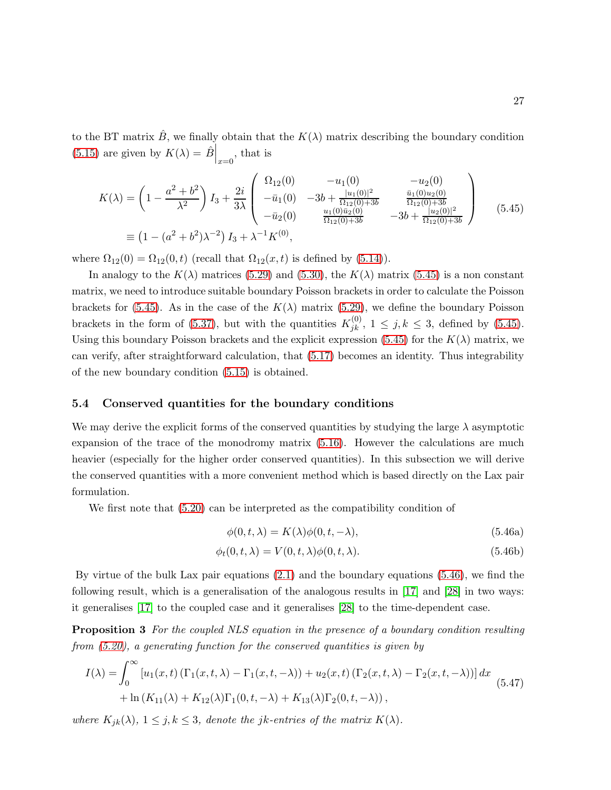to the BT matrix  $\hat{B}$ , we finally obtain that the  $K(\lambda)$  matrix describing the boundary condition [\(5.15\)](#page-20-4) are given by  $K(\lambda) = \hat{B}\Big|_{x=0}$ , that is

<span id="page-26-0"></span>
$$
K(\lambda) = \left(1 - \frac{a^2 + b^2}{\lambda^2}\right) I_3 + \frac{2i}{3\lambda} \begin{pmatrix} \Omega_{12}(0) & -u_1(0) & -u_2(0) \\ -\bar{u}_1(0) & -3b + \frac{|u_1(0)|^2}{\Omega_{12}(0) + 3b} & \frac{\bar{u}_1(0)u_2(0)}{\Omega_{12}(0) + 3b} \\ -\bar{u}_2(0) & \frac{u_1(0)\bar{u}_2(0)}{\Omega_{12}(0) + 3b} & -3b + \frac{|u_2(0)|^2}{\Omega_{12}(0) + 3b} \end{pmatrix}
$$
(5.45)  
\n
$$
\equiv \left(1 - (a^2 + b^2)\lambda^{-2}\right) I_3 + \lambda^{-1} K^{(0)},
$$

where  $\Omega_{12}(0) = \Omega_{12}(0, t)$  (recall that  $\Omega_{12}(x, t)$  is defined by [\(5.14\)](#page-19-3)).

In analogy to the  $K(\lambda)$  matrices [\(5.29\)](#page-22-1) and [\(5.30\)](#page-22-2), the  $K(\lambda)$  matrix [\(5.45\)](#page-26-0) is a non constant matrix, we need to introduce suitable boundary Poisson brackets in order to calculate the Poisson brackets for [\(5.45\)](#page-26-0). As in the case of the  $K(\lambda)$  matrix [\(5.29\)](#page-22-1), we define the boundary Poisson brackets in the form of [\(5.37\)](#page-24-0), but with the quantities  $K_{jk}^{(0)}$ ,  $1 \leq j, k \leq 3$ , defined by [\(5.45\)](#page-26-0). Using this boundary Poisson brackets and the explicit expression [\(5.45\)](#page-26-0) for the  $K(\lambda)$  matrix, we can verify, after straightforward calculation, that [\(5.17\)](#page-20-1) becomes an identity. Thus integrability of the new boundary condition [\(5.15\)](#page-20-4) is obtained.

#### 5.4 Conserved quantities for the boundary conditions

We may derive the explicit forms of the conserved quantities by studying the large  $\lambda$  asymptotic expansion of the trace of the monodromy matrix [\(5.16\)](#page-20-5). However the calculations are much heavier (especially for the higher order conserved quantities). In this subsection we will derive the conserved quantities with a more convenient method which is based directly on the Lax pair formulation.

We first note that [\(5.20\)](#page-20-3) can be interpreted as the compatibility condition of

<span id="page-26-1"></span>
$$
\phi(0, t, \lambda) = K(\lambda)\phi(0, t, -\lambda),\tag{5.46a}
$$

$$
\phi_t(0, t, \lambda) = V(0, t, \lambda)\phi(0, t, \lambda).
$$
\n(5.46b)

By virtue of the bulk Lax pair equations [\(2.1\)](#page-2-0) and the boundary equations [\(5.46\)](#page-26-1), we find the following result, which is a generalisation of the analogous results in [\[17\]](#page-30-10) and [\[28\]](#page-31-7) in two ways: it generalises [\[17\]](#page-30-10) to the coupled case and it generalises [\[28\]](#page-31-7) to the time-dependent case.

**Proposition 3** For the coupled NLS equation in the presence of a boundary condition resulting from [\(5.20\)](#page-20-3), a generating function for the conserved quantities is given by

<span id="page-26-2"></span>
$$
I(\lambda) = \int_0^\infty \left[ u_1(x, t) \left( \Gamma_1(x, t, \lambda) - \Gamma_1(x, t, -\lambda) \right) + u_2(x, t) \left( \Gamma_2(x, t, \lambda) - \Gamma_2(x, t, -\lambda) \right) \right] dx
$$
  
+  $\ln (K_{11}(\lambda) + K_{12}(\lambda) \Gamma_1(0, t, -\lambda) + K_{13}(\lambda) \Gamma_2(0, t, -\lambda)),$  (5.47)

where  $K_{jk}(\lambda)$ ,  $1 \leq j, k \leq 3$ , denote the jk-entries of the matrix  $K(\lambda)$ .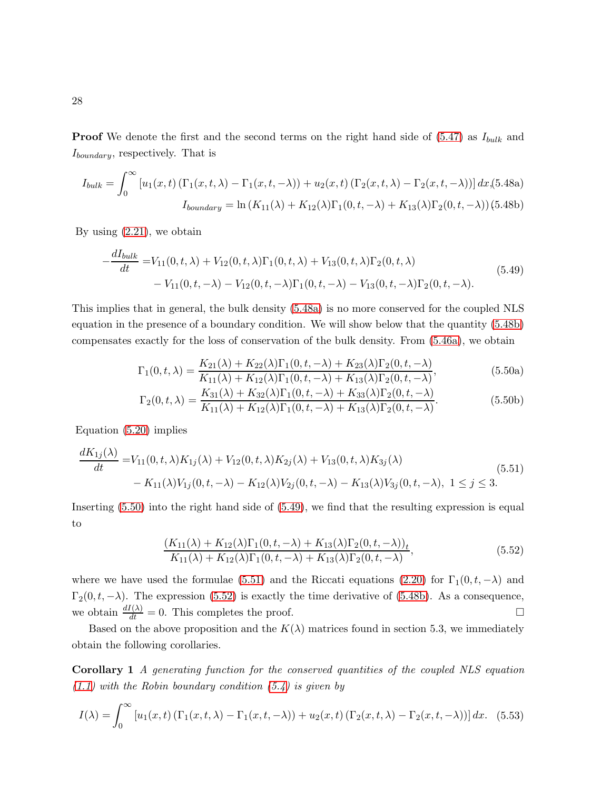**Proof** We denote the first and the second terms on the right hand side of  $(5.47)$  as  $I_{bulk}$  and  $I_{boundary}$ , respectively. That is

<span id="page-27-0"></span>
$$
I_{bulk} = \int_0^\infty \left[ u_1(x, t) \left( \Gamma_1(x, t, \lambda) - \Gamma_1(x, t, -\lambda) \right) + u_2(x, t) \left( \Gamma_2(x, t, \lambda) - \Gamma_2(x, t, -\lambda) \right) \right] dx, (5.48a)
$$

$$
I_{boundary} = \ln \left( K_{11}(\lambda) + K_{12}(\lambda) \Gamma_1(0, t, -\lambda) + K_{13}(\lambda) \Gamma_2(0, t, -\lambda) \right) (5.48b)
$$

By using  $(2.21)$ , we obtain

<span id="page-27-2"></span>
$$
-\frac{dI_{bulk}}{dt} = V_{11}(0, t, \lambda) + V_{12}(0, t, \lambda)\Gamma_1(0, t, \lambda) + V_{13}(0, t, \lambda)\Gamma_2(0, t, \lambda)
$$
  
-  $V_{11}(0, t, -\lambda) - V_{12}(0, t, -\lambda)\Gamma_1(0, t, -\lambda) - V_{13}(0, t, -\lambda)\Gamma_2(0, t, -\lambda).$  (5.49)

This implies that in general, the bulk density [\(5.48a\)](#page-27-0) is no more conserved for the coupled NLS equation in the presence of a boundary condition. We will show below that the quantity [\(5.48b\)](#page-27-0) compensates exactly for the loss of conservation of the bulk density. From [\(5.46a\)](#page-26-1), we obtain

<span id="page-27-1"></span>
$$
\Gamma_1(0, t, \lambda) = \frac{K_{21}(\lambda) + K_{22}(\lambda)\Gamma_1(0, t, -\lambda) + K_{23}(\lambda)\Gamma_2(0, t, -\lambda)}{K_{11}(\lambda) + K_{12}(\lambda)\Gamma_1(0, t, -\lambda) + K_{13}(\lambda)\Gamma_2(0, t, -\lambda)},
$$
\n(5.50a)

$$
\Gamma_2(0, t, \lambda) = \frac{K_{31}(\lambda) + K_{32}(\lambda)\Gamma_1(0, t, -\lambda) + K_{33}(\lambda)\Gamma_2(0, t, -\lambda)}{K_{11}(\lambda) + K_{12}(\lambda)\Gamma_1(0, t, -\lambda) + K_{13}(\lambda)\Gamma_2(0, t, -\lambda)}.
$$
\n(5.50b)

Equation [\(5.20\)](#page-20-3) implies

<span id="page-27-3"></span>
$$
\frac{dK_{1j}(\lambda)}{dt} = V_{11}(0, t, \lambda)K_{1j}(\lambda) + V_{12}(0, t, \lambda)K_{2j}(\lambda) + V_{13}(0, t, \lambda)K_{3j}(\lambda) - K_{11}(\lambda)V_{1j}(0, t, -\lambda) - K_{12}(\lambda)V_{2j}(0, t, -\lambda) - K_{13}(\lambda)V_{3j}(0, t, -\lambda), 1 \le j \le 3.
$$
\n
$$
(5.51)
$$

Inserting [\(5.50\)](#page-27-1) into the right hand side of [\(5.49\)](#page-27-2), we find that the resulting expression is equal to

<span id="page-27-4"></span>
$$
\frac{(K_{11}(\lambda) + K_{12}(\lambda)\Gamma_1(0, t, -\lambda) + K_{13}(\lambda)\Gamma_2(0, t, -\lambda))_t}{K_{11}(\lambda) + K_{12}(\lambda)\Gamma_1(0, t, -\lambda) + K_{13}(\lambda)\Gamma_2(0, t, -\lambda)},
$$
\n(5.52)

where we have used the formulae [\(5.51\)](#page-27-3) and the Riccati equations [\(2.20\)](#page-5-3) for  $\Gamma_1(0, t, -\lambda)$  and  $\Gamma_2(0, t, -\lambda)$ . The expression [\(5.52\)](#page-27-4) is exactly the time derivative of [\(5.48b\)](#page-27-0). As a consequence, we obtain  $\frac{dI(\lambda)}{dt} = 0$ . This completes the proof.

Based on the above proposition and the  $K(\lambda)$  matrices found in section 5.3, we immediately obtain the following corollaries.

Corollary 1 A generating function for the conserved quantities of the coupled NLS equation  $(1.1)$  with the Robin boundary condition  $(5.4)$  is given by

$$
I(\lambda) = \int_0^\infty \left[ u_1(x,t) \left( \Gamma_1(x,t,\lambda) - \Gamma_1(x,t,-\lambda) \right) + u_2(x,t) \left( \Gamma_2(x,t,\lambda) - \Gamma_2(x,t,-\lambda) \right) \right] dx. \tag{5.53}
$$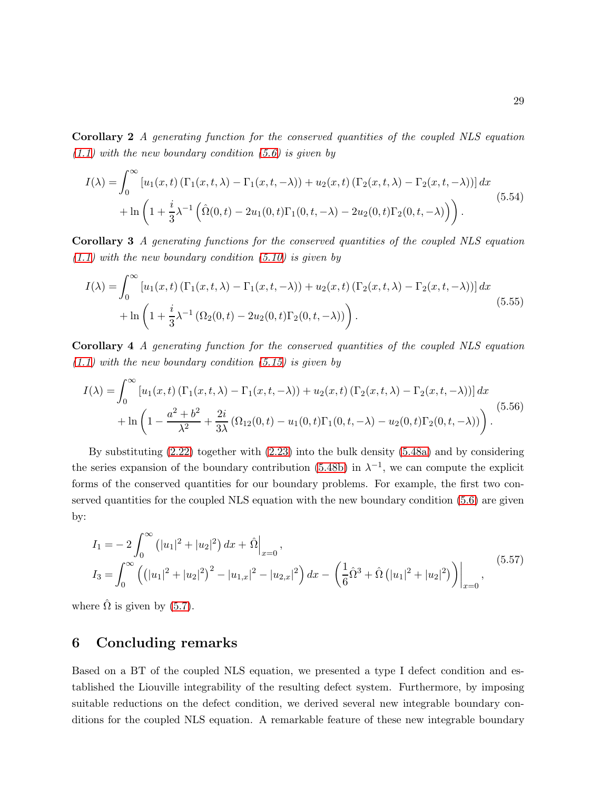Corollary 2 A generating function for the conserved quantities of the coupled NLS equation  $(1.1)$  with the new boundary condition  $(5.6)$  is given by

$$
I(\lambda) = \int_0^{\infty} \left[ u_1(x, t) \left( \Gamma_1(x, t, \lambda) - \Gamma_1(x, t, -\lambda) \right) + u_2(x, t) \left( \Gamma_2(x, t, \lambda) - \Gamma_2(x, t, -\lambda) \right) \right] dx
$$
  
+ 
$$
\ln \left( 1 + \frac{i}{3} \lambda^{-1} \left( \hat{\Omega}(0, t) - 2u_1(0, t) \Gamma_1(0, t, -\lambda) - 2u_2(0, t) \Gamma_2(0, t, -\lambda) \right) \right).
$$
(5.54)

Corollary 3 A generating functions for the conserved quantities of the coupled NLS equation  $(1.1)$  with the new boundary condition  $(5.10)$  is given by

$$
I(\lambda) = \int_0^\infty \left[ u_1(x,t) \left( \Gamma_1(x,t,\lambda) - \Gamma_1(x,t,-\lambda) \right) + u_2(x,t) \left( \Gamma_2(x,t,\lambda) - \Gamma_2(x,t,-\lambda) \right) \right] dx
$$
  
+ 
$$
\ln \left( 1 + \frac{i}{3} \lambda^{-1} \left( \Omega_2(0,t) - 2u_2(0,t) \Gamma_2(0,t,-\lambda) \right) \right).
$$
 (5.55)

Corollary 4 A generating function for the conserved quantities of the coupled NLS equation  $(1.1)$  with the new boundary condition  $(5.15)$  is given by

$$
I(\lambda) = \int_0^\infty \left[ u_1(x, t) \left( \Gamma_1(x, t, \lambda) - \Gamma_1(x, t, -\lambda) \right) + u_2(x, t) \left( \Gamma_2(x, t, \lambda) - \Gamma_2(x, t, -\lambda) \right) \right] dx
$$
  
+ 
$$
\ln \left( 1 - \frac{a^2 + b^2}{\lambda^2} + \frac{2i}{3\lambda} \left( \Omega_{12}(0, t) - u_1(0, t) \Gamma_1(0, t, -\lambda) - u_2(0, t) \Gamma_2(0, t, -\lambda) \right) \right).
$$
(5.56)

By substituting [\(2.22\)](#page-6-0) together with [\(2.23\)](#page-6-1) into the bulk density [\(5.48a\)](#page-27-0) and by considering the series expansion of the boundary contribution [\(5.48b\)](#page-27-0) in  $\lambda^{-1}$ , we can compute the explicit forms of the conserved quantities for our boundary problems. For example, the first two conserved quantities for the coupled NLS equation with the new boundary condition [\(5.6\)](#page-18-2) are given by:

$$
I_1 = -2 \int_0^{\infty} (|u_1|^2 + |u_2|^2) dx + \hat{\Omega} \Big|_{x=0},
$$
  
\n
$$
I_3 = \int_0^{\infty} ((|u_1|^2 + |u_2|^2)^2 - |u_{1,x}|^2 - |u_{2,x}|^2) dx - \left(\frac{1}{6}\hat{\Omega}^3 + \hat{\Omega} (|u_1|^2 + |u_2|^2) \right) \Big|_{x=0},
$$
\n(5.57)

where  $\Omega$  is given by [\(5.7\)](#page-18-3).

### 6 Concluding remarks

Based on a BT of the coupled NLS equation, we presented a type I defect condition and established the Liouville integrability of the resulting defect system. Furthermore, by imposing suitable reductions on the defect condition, we derived several new integrable boundary conditions for the coupled NLS equation. A remarkable feature of these new integrable boundary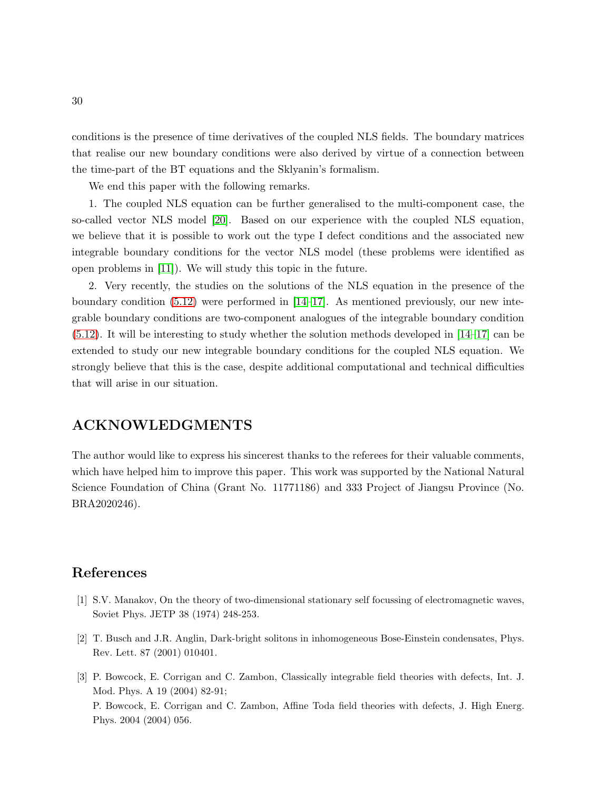conditions is the presence of time derivatives of the coupled NLS fields. The boundary matrices that realise our new boundary conditions were also derived by virtue of a connection between the time-part of the BT equations and the Sklyanin's formalism.

We end this paper with the following remarks.

1. The coupled NLS equation can be further generalised to the multi-component case, the so-called vector NLS model [\[20\]](#page-30-13). Based on our experience with the coupled NLS equation, we believe that it is possible to work out the type I defect conditions and the associated new integrable boundary conditions for the vector NLS model (these problems were identified as open problems in [\[11\]](#page-30-6)). We will study this topic in the future.

2. Very recently, the studies on the solutions of the NLS equation in the presence of the boundary condition  $(5.12)$  were performed in  $[14–17]$  $[14–17]$ . As mentioned previously, our new integrable boundary conditions are two-component analogues of the integrable boundary condition [\(5.12\)](#page-19-2). It will be interesting to study whether the solution methods developed in [\[14](#page-30-9)[–17\]](#page-30-10) can be extended to study our new integrable boundary conditions for the coupled NLS equation. We strongly believe that this is the case, despite additional computational and technical difficulties that will arise in our situation.

### ACKNOWLEDGMENTS

The author would like to express his sincerest thanks to the referees for their valuable comments, which have helped him to improve this paper. This work was supported by the National Natural Science Foundation of China (Grant No. 11771186) and 333 Project of Jiangsu Province (No. BRA2020246).

### <span id="page-29-0"></span>References

- <span id="page-29-1"></span>[1] S.V. Manakov, On the theory of two-dimensional stationary self focussing of electromagnetic waves, Soviet Phys. JETP 38 (1974) 248-253.
- <span id="page-29-2"></span>[2] T. Busch and J.R. Anglin, Dark-bright solitons in inhomogeneous Bose-Einstein condensates, Phys. Rev. Lett. 87 (2001) 010401.
- [3] P. Bowcock, E. Corrigan and C. Zambon, Classically integrable field theories with defects, Int. J. Mod. Phys. A 19 (2004) 82-91; P. Bowcock, E. Corrigan and C. Zambon, Affine Toda field theories with defects, J. High Energ. Phys. 2004 (2004) 056.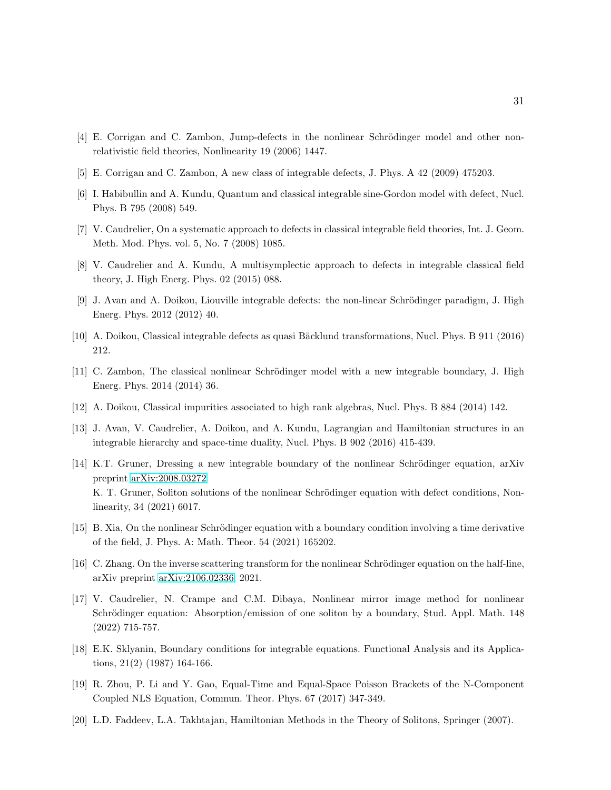- <span id="page-30-1"></span><span id="page-30-0"></span>[4] E. Corrigan and C. Zambon, Jump-defects in the nonlinear Schrödinger model and other nonrelativistic field theories, Nonlinearity 19 (2006) 1447.
- <span id="page-30-2"></span>[5] E. Corrigan and C. Zambon, A new class of integrable defects, J. Phys. A 42 (2009) 475203.
- <span id="page-30-4"></span>[6] I. Habibullin and A. Kundu, Quantum and classical integrable sine-Gordon model with defect, Nucl. Phys. B 795 (2008) 549.
- <span id="page-30-5"></span>[7] V. Caudrelier, On a systematic approach to defects in classical integrable field theories, Int. J. Geom. Meth. Mod. Phys. vol. 5, No. 7 (2008) 1085.
- [8] V. Caudrelier and A. Kundu, A multisymplectic approach to defects in integrable classical field theory, J. High Energ. Phys. 02 (2015) 088.
- <span id="page-30-3"></span>[9] J. Avan and A. Doikou, Liouville integrable defects: the non-linear Schrödinger paradigm, J. High Energ. Phys. 2012 (2012) 40.
- <span id="page-30-6"></span>[10] A. Doikou, Classical integrable defects as quasi Bäcklund transformations, Nucl. Phys. B 911 (2016) 212.
- <span id="page-30-7"></span>[11] C. Zambon, The classical nonlinear Schrödinger model with a new integrable boundary, J. High Energ. Phys. 2014 (2014) 36.
- <span id="page-30-8"></span>[12] A. Doikou, Classical impurities associated to high rank algebras, Nucl. Phys. B 884 (2014) 142.
- <span id="page-30-9"></span>[13] J. Avan, V. Caudrelier, A. Doikou, and A. Kundu, Lagrangian and Hamiltonian structures in an integrable hierarchy and space-time duality, Nucl. Phys. B 902 (2016) 415-439.
- [14] K.T. Gruner, Dressing a new integrable boundary of the nonlinear Schrödinger equation, arXiv preprint [arXiv:2008.03272;](http://arxiv.org/abs/2008.03272) K. T. Gruner, Soliton solutions of the nonlinear Schrödinger equation with defect conditions, Nonlinearity, 34 (2021) 6017.
- [15] B. Xia, On the nonlinear Schrödinger equation with a boundary condition involving a time derivative of the field, J. Phys. A: Math. Theor. 54 (2021) 165202.
- <span id="page-30-10"></span>[16] C. Zhang. On the inverse scattering transform for the nonlinear Schrödinger equation on the half-line, arXiv preprint [arXiv:2106.02336,](http://arxiv.org/abs/2106.02336) 2021.
- [17] V. Caudrelier, N. Crampe and C.M. Dibaya, Nonlinear mirror image method for nonlinear Schrödinger equation: Absorption/emission of one soliton by a boundary, Stud. Appl. Math. 148 (2022) 715-757.
- <span id="page-30-12"></span><span id="page-30-11"></span>[18] E.K. Sklyanin, Boundary conditions for integrable equations. Functional Analysis and its Applications, 21(2) (1987) 164-166.
- <span id="page-30-13"></span>[19] R. Zhou, P. Li and Y. Gao, Equal-Time and Equal-Space Poisson Brackets of the N-Component Coupled NLS Equation, Commun. Theor. Phys. 67 (2017) 347-349.
- [20] L.D. Faddeev, L.A. Takhtajan, Hamiltonian Methods in the Theory of Solitons, Springer (2007).